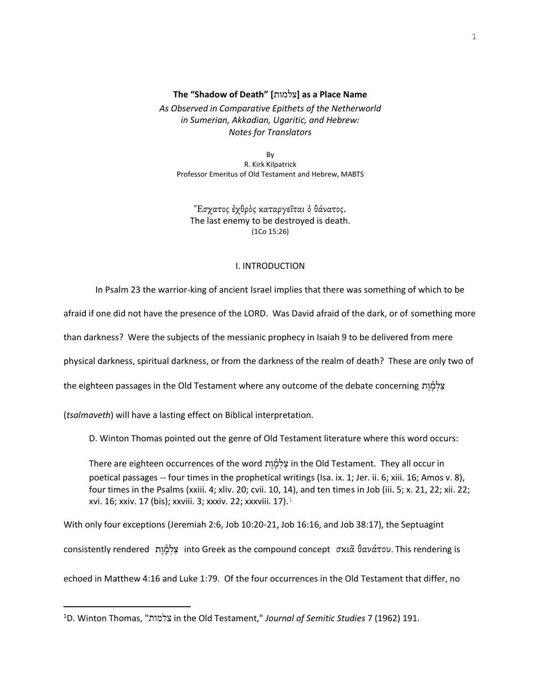### **The "Shadow of Death" [** צלמות **[as a Place Name**

*As Observed in Comparative Epithets of the Netherworld in Sumerian, Akkadian, Ugaritic, and Hebrew: Notes for Translators*

By R. Kirk Kilpatrick Professor Emeritus of Old Testament and Hebrew, MABTS

Ἔσχατος ἐχθρὸς καταργεῖται ὁ θάνατος. The last enemy to be destroyed is death. (1Co 15:26)

#### I. INTRODUCTION

In Psalm 23 the warrior-king of ancient Israel implies that there was something of which to be

afraid if one did not have the presence of the LORD. Was David afraid of the dark, or of something more

than darkness? Were the subjects of the messianic prophecy in Isaiah 9 to be delivered from mere

physical darkness, spiritual darkness, or from the darkness of the realm of death? These are only two of

the eighteen passages in the Old Testament where any outcome of the debate concerning עֲלְמָוֶת

(*tsalmaveth*) will have a lasting effect on Biblical interpretation.

D. Winton Thomas pointed out the genre of Old Testament literature where this word occurs:

There are eighteen occurrences of the word ת ֶו ָ֡ מ ְל ַצ in the Old Testament. They all occur in poetical passages -- four times in the prophetical writings (Isa. ix. 1; Jer. ii. 6; xiii. 16; Amos v. 8), four times in the Psalms (xxiii. 4; xliv. 20; cvii. 10, 14), and ten times in Job (iii. 5; x. 21, 22; xii. 22; xvi. 16; xxiv. 17 (bis); xxviii. 3; xxxiv. 22; xxxviii. 17).<sup>1</sup>

With only four exceptions (Jeremiah 2:6, Job 10:20-21, Job 16:16, and Job 38:17), the Septuagint consistently rendered עֲלָמֶוֶת into Greek as the compound concept σκια θανάτου. This rendering is echoed in Matthew 4:16 and Luke 1:79. Of the four occurrences in the Old Testament that differ, no

<sup>1</sup>D. Winton Thomas, "צלמות in the Old Testament," *Journal of Semitic Studies* 7 (1962) 191.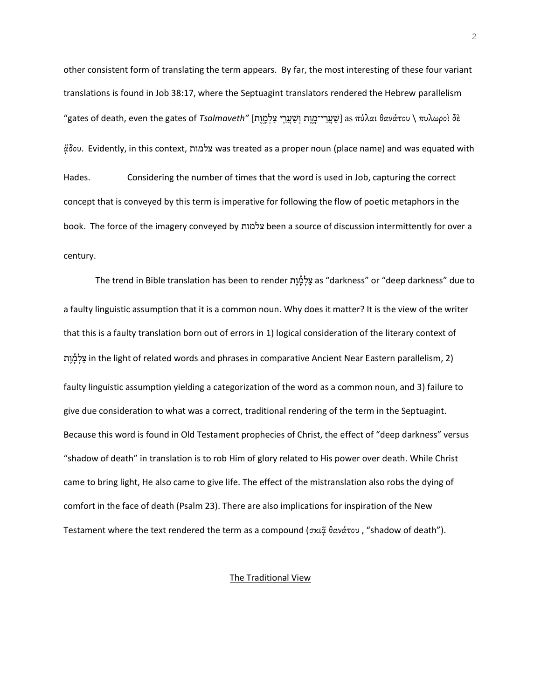other consistent form of translating the term appears. By far, the most interesting of these four variant translations is found in Job 38:17, where the Septuagint translators rendered the Hebrew parallelism "gates of death, even the gates of *Tsalmaveth"* [שֵׁעֲרֵי־מֵוֶת וְשָׁעֲרֵי צַלְמֵוֶת] as πύλαι θανάτου \ πυλωροὶ δὲ ᾅδου. Evidently, in this context, צלמות was treated as a proper noun (place name) and was equated with Hades. Considering the number of times that the word is used in Job, capturing the correct concept that is conveyed by this term is imperative for following the flow of poetic metaphors in the book. The force of the imagery conveyed by צלמות been a source of discussion intermittently for over a century.

The trend in Bible translation has been to render ת ֶו ָ֡ מ ְל ַצ as "darkness" or "deep darkness" due to a faulty linguistic assumption that it is a common noun. Why does it matter? It is the view of the writer that this is a faulty translation born out of errors in 1) logical consideration of the literary context of ת ֶו ָ֡ מ ְל ַצ in the light of related words and phrases in comparative Ancient Near Eastern parallelism, 2) faulty linguistic assumption yielding a categorization of the word as a common noun, and 3) failure to give due consideration to what was a correct, traditional rendering of the term in the Septuagint. Because this word is found in Old Testament prophecies of Christ, the effect of "deep darkness" versus "shadow of death" in translation is to rob Him of glory related to His power over death. While Christ came to bring light, He also came to give life. The effect of the mistranslation also robs the dying of comfort in the face of death (Psalm 23). There are also implications for inspiration of the New Testament where the text rendered the term as a compound (σκιᾶ θανάτου, "shadow of death").

### The Traditional View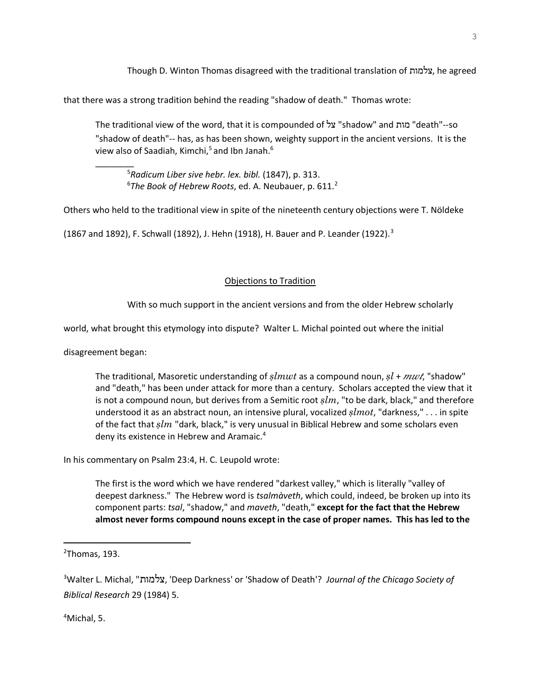Though D. Winton Thomas disagreed with the traditional translation of צלמות, he agreed

that there was a strong tradition behind the reading "shadow of death." Thomas wrote:

The traditional view of the word, that it is compounded of צל" shadow" and מות" death"--so "shadow of death"-- has, as has been shown, weighty support in the ancient versions. It is the view also of Saadiah, Kimchi, $^5$  and Ibn Janah. $^6$ 

<sup>5</sup>*Radicum Liber sive hebr. lex. bibl.* (1847), p. 313. <sup>6</sup>The Book of Hebrew Roots, ed. A. Neubauer, p. 611.<sup>2</sup>

Others who held to the traditional view in spite of the nineteenth century objections were T. Nöldeke

(1867 and 1892), F. Schwall (1892), J. Hehn (1918), H. Bauer and P. Leander (1922).<sup>3</sup>

# Objections to Tradition

With so much support in the ancient versions and from the older Hebrew scholarly

world, what brought this etymology into dispute? Walter L. Michal pointed out where the initial

disagreement began:

\_\_\_\_\_\_\_\_

The traditional, Masoretic understanding of  $slmwt$  as a compound noun,  $sl + mwt$ , "shadow" and "death," has been under attack for more than a century. Scholars accepted the view that it is not a compound noun, but derives from a Semitic root  $slm$ , "to be dark, black," and therefore understood it as an abstract noun, an intensive plural, vocalized  $slmot$ , "darkness," . . . in spite of the fact that  $s l m$  "dark, black," is very unusual in Biblical Hebrew and some scholars even deny its existence in Hebrew and Aramaic.<sup>4</sup>

In his commentary on Psalm 23:4, H. C. Leupold wrote:

The first is the word which we have rendered "darkest valley," which is literally "valley of deepest darkness." The Hebrew word is *tsalmàveth*, which could, indeed, be broken up into its component parts: *tsal*, "shadow," and *maveth*, "death," **except for the fact that the Hebrew almost never forms compound nouns except in the case of proper names. This has led to the** 

4Michal, 5.

 $2$ Thomas, 193.

<sup>3</sup>Walter L. Michal, "צלמות,' Deep Darkness' or 'Shadow of Death'? *Journal of the Chicago Society of Biblical Research* 29 (1984) 5.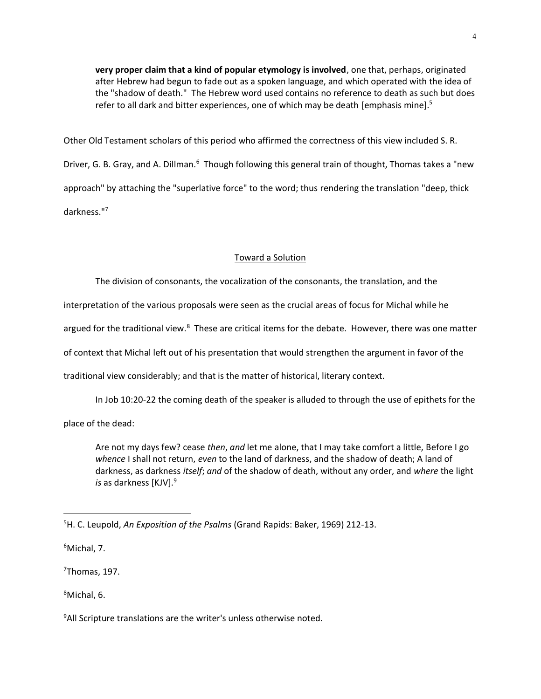**very proper claim that a kind of popular etymology is involved**, one that, perhaps, originated after Hebrew had begun to fade out as a spoken language, and which operated with the idea of the "shadow of death." The Hebrew word used contains no reference to death as such but does refer to all dark and bitter experiences, one of which may be death [emphasis mine].<sup>5</sup>

Other Old Testament scholars of this period who affirmed the correctness of this view included S. R. Driver, G. B. Gray, and A. Dillman.<sup>6</sup> Though following this general train of thought, Thomas takes a "new approach" by attaching the "superlative force" to the word; thus rendering the translation "deep, thick darkness."<sup>7</sup>

# Toward a Solution

The division of consonants, the vocalization of the consonants, the translation, and the interpretation of the various proposals were seen as the crucial areas of focus for Michal while he argued for the traditional view.<sup>8</sup> These are critical items for the debate. However, there was one matter of context that Michal left out of his presentation that would strengthen the argument in favor of the traditional view considerably; and that is the matter of historical, literary context.

In Job 10:20-22 the coming death of the speaker is alluded to through the use of epithets for the place of the dead:

Are not my days few? cease *then*, *and* let me alone, that I may take comfort a little, Before I go *whence* I shall not return, *even* to the land of darkness, and the shadow of death; A land of darkness, as darkness *itself*; *and* of the shadow of death, without any order, and *where* the light *is* as darkness [KJV].<sup>9</sup>

<sup>6</sup>Michal, 7.

 $7$ Thomas, 197.

<sup>8</sup>Michal, 6.

<sup>9</sup>All Scripture translations are the writer's unless otherwise noted.

<sup>5</sup>H. C. Leupold, *An Exposition of the Psalms* (Grand Rapids: Baker, 1969) 212-13.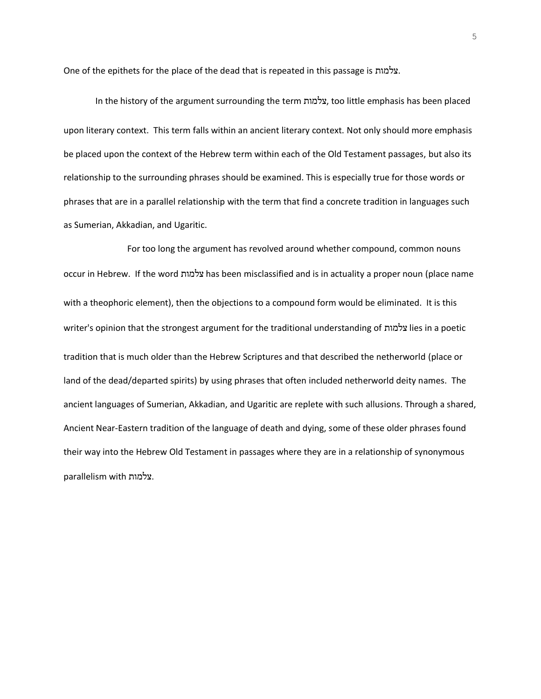One of the epithets for the place of the dead that is repeated in this passage is צלמות.

In the history of the argument surrounding the term צלמות, too little emphasis has been placed upon literary context. This term falls within an ancient literary context. Not only should more emphasis be placed upon the context of the Hebrew term within each of the Old Testament passages, but also its relationship to the surrounding phrases should be examined. This is especially true for those words or phrases that are in a parallel relationship with the term that find a concrete tradition in languages such as Sumerian, Akkadian, and Ugaritic.

For too long the argument has revolved around whether compound, common nouns occur in Hebrew. If the word צלמות has been misclassified and is in actuality a proper noun (place name with a theophoric element), then the objections to a compound form would be eliminated. It is this writer's opinion that the strongest argument for the traditional understanding of צלמות lies in a poetic tradition that is much older than the Hebrew Scriptures and that described the netherworld (place or land of the dead/departed spirits) by using phrases that often included netherworld deity names. The ancient languages of Sumerian, Akkadian, and Ugaritic are replete with such allusions. Through a shared, Ancient Near-Eastern tradition of the language of death and dying, some of these older phrases found their way into the Hebrew Old Testament in passages where they are in a relationship of synonymous parallelism with צלמות.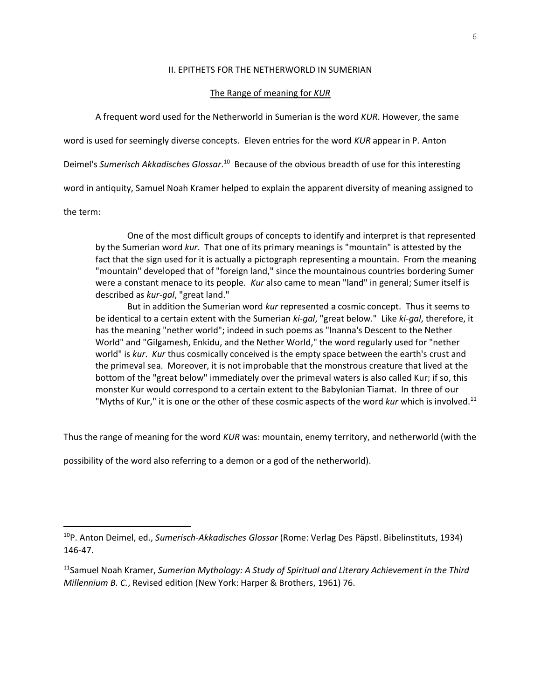#### II. EPITHETS FOR THE NETHERWORLD IN SUMERIAN

#### The Range of meaning for *KUR*

A frequent word used for the Netherworld in Sumerian is the word *KUR*. However, the same

word is used for seemingly diverse concepts. Eleven entries for the word *KUR* appear in P. Anton

Deimel's Sumerisch Akkadisches Glossar.<sup>10</sup> Because of the obvious breadth of use for this interesting

word in antiquity, Samuel Noah Kramer helped to explain the apparent diversity of meaning assigned to

the term:

One of the most difficult groups of concepts to identify and interpret is that represented by the Sumerian word *kur*. That one of its primary meanings is "mountain" is attested by the fact that the sign used for it is actually a pictograph representing a mountain. From the meaning "mountain" developed that of "foreign land," since the mountainous countries bordering Sumer were a constant menace to its people. *Kur* also came to mean "land" in general; Sumer itself is described as *kur-gal*, "great land."

But in addition the Sumerian word *kur* represented a cosmic concept. Thus it seems to be identical to a certain extent with the Sumerian *ki-gal*, "great below." Like *ki-gal*, therefore, it has the meaning "nether world"; indeed in such poems as "Inanna's Descent to the Nether World" and "Gilgamesh, Enkidu, and the Nether World," the word regularly used for "nether world" is *kur*. *Kur* thus cosmically conceived is the empty space between the earth's crust and the primeval sea. Moreover, it is not improbable that the monstrous creature that lived at the bottom of the "great below" immediately over the primeval waters is also called Kur; if so, this monster Kur would correspond to a certain extent to the Babylonian Tiamat. In three of our "Myths of Kur," it is one or the other of these cosmic aspects of the word *kur* which is involved.<sup>11</sup>

Thus the range of meaning for the word *KUR* was: mountain, enemy territory, and netherworld (with the

possibility of the word also referring to a demon or a god of the netherworld).

<sup>10</sup>P. Anton Deimel, ed., *Sumerisch-Akkadisches Glossar* (Rome: Verlag Des Päpstl. Bibelinstituts, 1934) 146-47.

<sup>11</sup>Samuel Noah Kramer, *Sumerian Mythology: A Study of Spiritual and Literary Achievement in the Third Millennium B. C.*, Revised edition (New York: Harper & Brothers, 1961) 76.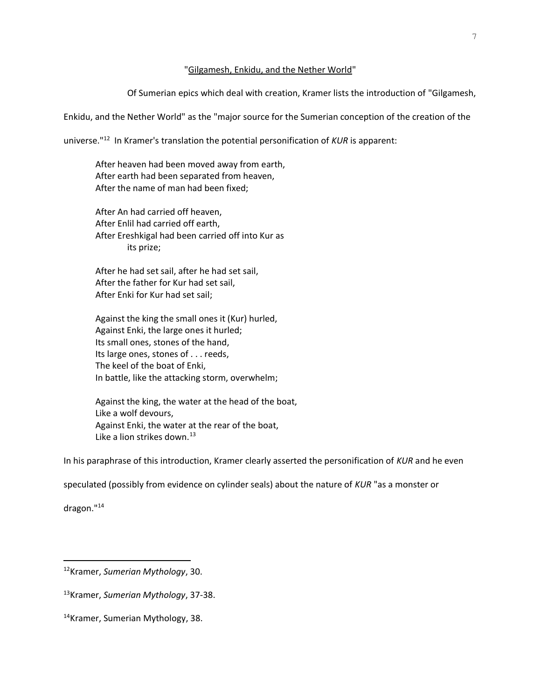# "Gilgamesh, Enkidu, and the Nether World"

Of Sumerian epics which deal with creation, Kramer lists the introduction of "Gilgamesh,

Enkidu, and the Nether World" as the "major source for the Sumerian conception of the creation of the

universe."<sup>12</sup> In Kramer's translation the potential personification of *KUR* is apparent:

After heaven had been moved away from earth, After earth had been separated from heaven, After the name of man had been fixed;

After An had carried off heaven, After Enlil had carried off earth, After Ereshkigal had been carried off into Kur as its prize;

After he had set sail, after he had set sail, After the father for Kur had set sail, After Enki for Kur had set sail;

Against the king the small ones it (Kur) hurled, Against Enki, the large ones it hurled; Its small ones, stones of the hand, Its large ones, stones of . . . reeds, The keel of the boat of Enki, In battle, like the attacking storm, overwhelm;

Against the king, the water at the head of the boat, Like a wolf devours, Against Enki, the water at the rear of the boat, Like a lion strikes down. $^{13}$ 

In his paraphrase of this introduction, Kramer clearly asserted the personification of *KUR* and he even

speculated (possibly from evidence on cylinder seals) about the nature of *KUR* "as a monster or

dragon."<sup>14</sup>

<sup>12</sup>Kramer, *Sumerian Mythology*, 30.

<sup>13</sup>Kramer, *Sumerian Mythology*, 37-38.

<sup>14</sup>Kramer, Sumerian Mythology, 38.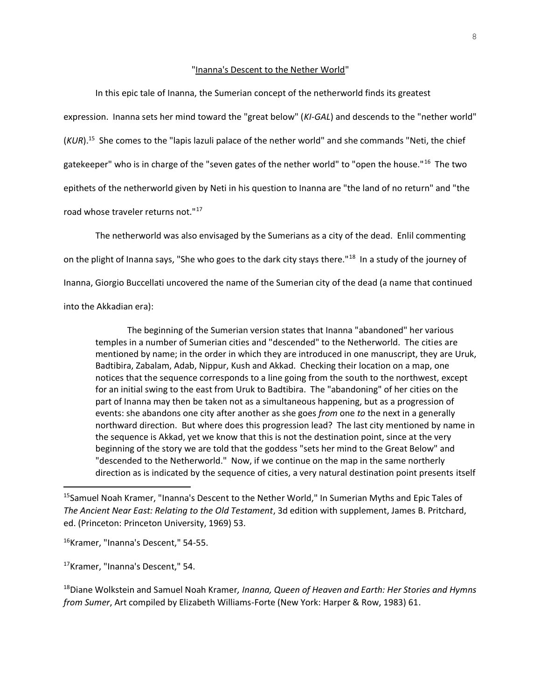### "Inanna's Descent to the Nether World"

In this epic tale of Inanna, the Sumerian concept of the netherworld finds its greatest

expression. Inanna sets her mind toward the "great below" (*KI-GAL*) and descends to the "nether world" (*KUR*).<sup>15</sup> She comes to the "lapis lazuli palace of the nether world" and she commands "Neti, the chief gatekeeper" who is in charge of the "seven gates of the nether world" to "open the house."<sup>16</sup> The two epithets of the netherworld given by Neti in his question to Inanna are "the land of no return" and "the road whose traveler returns not."<sup>17</sup>

The netherworld was also envisaged by the Sumerians as a city of the dead. Enlil commenting on the plight of Inanna says, "She who goes to the dark city stays there."<sup>18</sup> In a study of the journey of Inanna, Giorgio Buccellati uncovered the name of the Sumerian city of the dead (a name that continued into the Akkadian era):

The beginning of the Sumerian version states that Inanna "abandoned" her various temples in a number of Sumerian cities and "descended" to the Netherworld. The cities are mentioned by name; in the order in which they are introduced in one manuscript, they are Uruk, Badtibira, Zabalam, Adab, Nippur, Kush and Akkad. Checking their location on a map, one notices that the sequence corresponds to a line going from the south to the northwest, except for an initial swing to the east from Uruk to Badtibira. The "abandoning" of her cities on the part of Inanna may then be taken not as a simultaneous happening, but as a progression of events: she abandons one city after another as she goes *from* one *to* the next in a generally northward direction. But where does this progression lead? The last city mentioned by name in the sequence is Akkad, yet we know that this is not the destination point, since at the very beginning of the story we are told that the goddess "sets her mind to the Great Below" and "descended to the Netherworld." Now, if we continue on the map in the same northerly direction as is indicated by the sequence of cities, a very natural destination point presents itself

<sup>16</sup>Kramer, "Inanna's Descent," 54-55.

<sup>17</sup>Kramer, "Inanna's Descent," 54.

<sup>18</sup>Diane Wolkstein and Samuel Noah Kramer*, Inanna, Queen of Heaven and Earth: Her Stories and Hymns from Sumer*, Art compiled by Elizabeth Williams-Forte (New York: Harper & Row, 1983) 61.

<sup>&</sup>lt;sup>15</sup>Samuel Noah Kramer, "Inanna's Descent to the Nether World," In Sumerian Myths and Epic Tales of *The Ancient Near East: Relating to the Old Testament*, 3d edition with supplement, James B. Pritchard, ed. (Princeton: Princeton University, 1969) 53.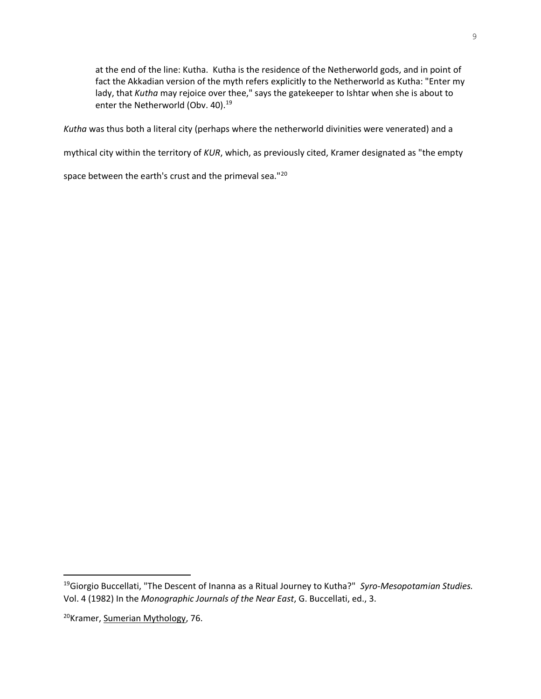at the end of the line: Kutha. Kutha is the residence of the Netherworld gods, and in point of fact the Akkadian version of the myth refers explicitly to the Netherworld as Kutha: "Enter my lady, that *Kutha* may rejoice over thee," says the gatekeeper to Ishtar when she is about to enter the Netherworld (Obv. 40).<sup>19</sup>

*Kutha* was thus both a literal city (perhaps where the netherworld divinities were venerated) and a

mythical city within the territory of *KUR*, which, as previously cited, Kramer designated as "the empty

space between the earth's crust and the primeval sea."<sup>20</sup>

<sup>19</sup>Giorgio Buccellati, "The Descent of Inanna as a Ritual Journey to Kutha?" *Syro-Mesopotamian Studies.* Vol. 4 (1982) In the *Monographic Journals of the Near East*, G. Buccellati, ed., 3.

<sup>&</sup>lt;sup>20</sup>Kramer, Sumerian Mythology, 76.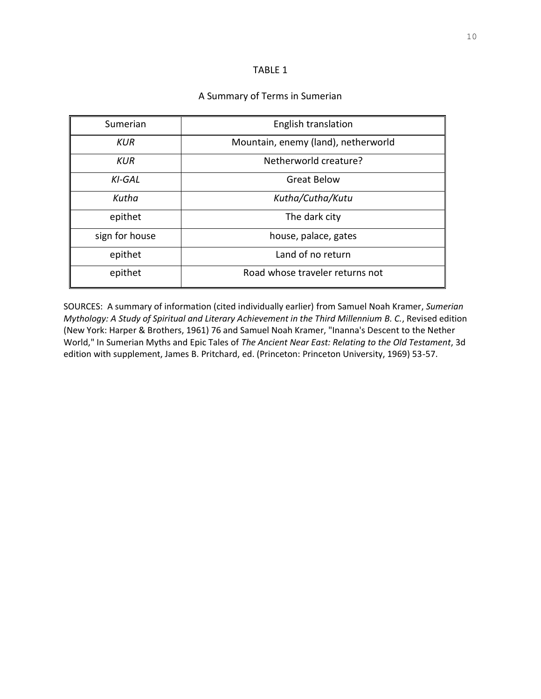# TABLE 1

# A Summary of Terms in Sumerian

| Sumerian       | <b>English translation</b>          |
|----------------|-------------------------------------|
| <b>KUR</b>     | Mountain, enemy (land), netherworld |
| <b>KUR</b>     | Netherworld creature?               |
| KI-GAL         | <b>Great Below</b>                  |
| Kutha          | Kutha/Cutha/Kutu                    |
| epithet        | The dark city                       |
| sign for house | house, palace, gates                |
| epithet        | Land of no return                   |
| epithet        | Road whose traveler returns not     |

SOURCES: A summary of information (cited individually earlier) from Samuel Noah Kramer, *Sumerian Mythology: A Study of Spiritual and Literary Achievement in the Third Millennium B. C.*, Revised edition (New York: Harper & Brothers, 1961) 76 and Samuel Noah Kramer, "Inanna's Descent to the Nether World," In Sumerian Myths and Epic Tales of *The Ancient Near East: Relating to the Old Testament*, 3d edition with supplement, James B. Pritchard, ed. (Princeton: Princeton University, 1969) 53-57.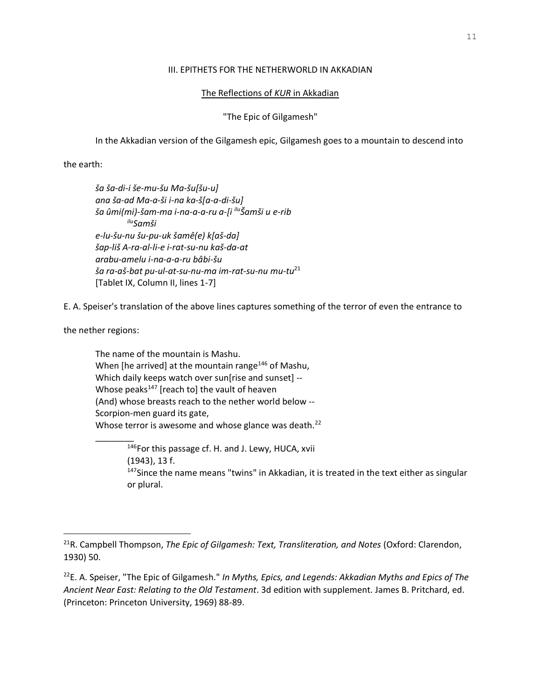# III. EPITHETS FOR THE NETHERWORLD IN AKKADIAN

# The Reflections of *KUR* in Akkadian

# "The Epic of Gilgamesh"

In the Akkadian version of the Gilgamesh epic, Gilgamesh goes to a mountain to descend into

the earth:

*ša ša-di-i še-mu-šu Ma-šu[šu-u] ana ša-ad Ma-a-ši i-na ka-š[a-a-di-šu] ša ûmi(mi)-šam-ma i-na-a-a-ru a-[i iluŠamši u e-rib iluSamši e-lu-šu-nu šu-pu-uk šamê(e) k[aš-da] šap-liš A-ra-al-li-e i-rat-su-nu kaš-da-at arabu-amelu i-na-a-a-ru bâbi-šu ša ra-aš-bat pu-ul-at-su-nu-ma im-rat-su-nu mu-tu*<sup>21</sup> [Tablet IX, Column II, lines 1-7]

E. A. Speiser's translation of the above lines captures something of the terror of even the entrance to

the nether regions:

\_\_\_\_\_\_\_\_

The name of the mountain is Mashu. When [he arrived] at the mountain range<sup>146</sup> of Mashu, Which daily keeps watch over sun[rise and sunset] -- Whose peaks $^{147}$  [reach to] the vault of heaven (And) whose breasts reach to the nether world below -- Scorpion-men guard its gate, Whose terror is awesome and whose glance was death.<sup>22</sup>

> <sup>146</sup>For this passage cf. H. and J. Lewy, HUCA, xvii (1943), 13 f.  $147$ Since the name means "twins" in Akkadian, it is treated in the text either as singular or plural.

<sup>21</sup>R. Campbell Thompson, *The Epic of Gilgamesh: Text, Transliteration, and Notes* (Oxford: Clarendon, 1930) 50.

<sup>22</sup>E. A. Speiser, "The Epic of Gilgamesh." *In Myths, Epics, and Legends: Akkadian Myths and Epics of The Ancient Near East: Relating to the Old Testament*. 3d edition with supplement. James B. Pritchard, ed. (Princeton: Princeton University, 1969) 88-89.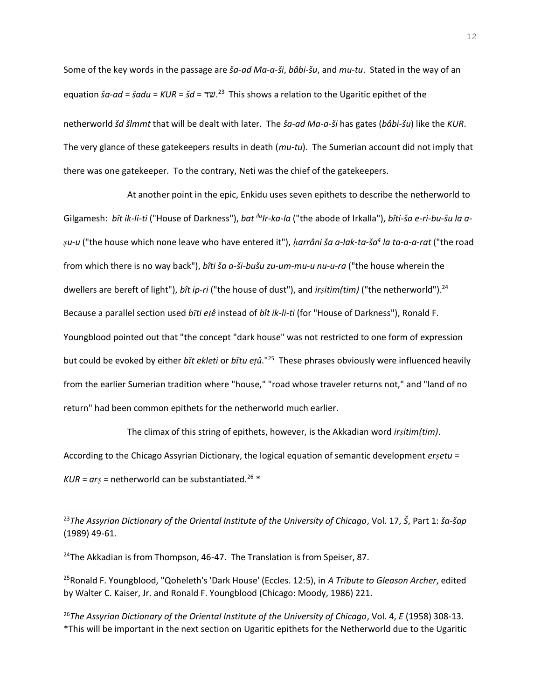Some of the key words in the passage are *ša-ad Ma-a-ši*, *bâbi-šu*, and *mu-tu*. Stated in the way of an equation *ša-ad* = *šadu* = *KUR* = *šd* = שד. 23 This shows a relation to the Ugaritic epithet of the netherworld *šd šlmmt* that will be dealt with later. The *ša-ad Ma-a-ši* has gates (*bâbi-šu*) like the *KUR*. The very glance of these gatekeepers results in death (*mu-tu*). The Sumerian account did not imply that there was one gatekeeper. To the contrary, Neti was the chief of the gatekeepers.

At another point in the epic, Enkidu uses seven epithets to describe the netherworld to Gilgamesh: *bît ik-li-ti* ("House of Darkness"), *bat iluIr-ka-la* ("the abode of Irkalla"), *bîti-ša e-ri-bu-šu la aṣu-u* ("the house which none leave who have entered it"), *ḥarrâni ša a-lak-ta-ša<sup>4</sup> la ta-a-a-rat* ("the road from which there is no way back"), *bîti ša a-ši-bušu zu-um-mu-u nu-u-ra* ("the house wherein the dwellers are bereft of light"), *bît ip-ri* ("the house of dust"), and *irṣitim(tim)* ("the netherworld").<sup>24</sup> Because a parallel section used *bīti eṭê* instead of *bît ik-li-ti* (for "House of Darkness"), Ronald F. Youngblood pointed out that "the concept "dark house" was not restricted to one form of expression but could be evoked by either *bīt ekleti* or *bītu eṭû*."<sup>25</sup> These phrases obviously were influenced heavily from the earlier Sumerian tradition where "house," "road whose traveler returns not," and "land of no return" had been common epithets for the netherworld much earlier.

The climax of this string of epithets, however, is the Akkadian word *irṣitim(tim)*. According to the Chicago Assyrian Dictionary, the logical equation of semantic development *erṣetu* =  $KUR = ar_s$  = netherworld can be substantiated.<sup>26</sup> \*

<sup>25</sup>Ronald F. Youngblood, "Qoheleth's 'Dark House' (Eccles. 12:5), in *A Tribute to Gleason Archer*, edited by Walter C. Kaiser, Jr. and Ronald F. Youngblood (Chicago: Moody, 1986) 221.

<sup>26</sup>*The Assyrian Dictionary of the Oriental Institute of the University of Chicago*, Vol. 4, *E* (1958) 308-13. \*This will be important in the next section on Ugaritic epithets for the Netherworld due to the Ugaritic

<sup>23</sup>*The Assyrian Dictionary of the Oriental Institute of the University of Chicago*, Vol. 17, *Š*, Part 1: *ša-šap* (1989) 49-61.

 $24$ The Akkadian is from Thompson, 46-47. The Translation is from Speiser, 87.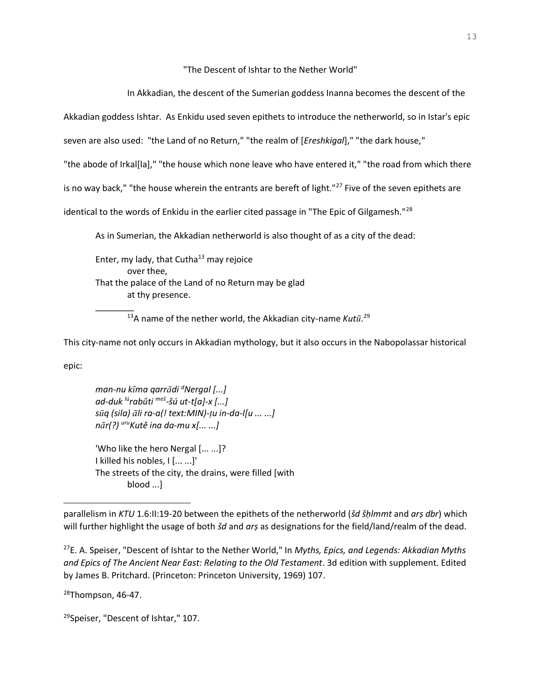"The Descent of Ishtar to the Nether World"

In Akkadian, the descent of the Sumerian goddess Inanna becomes the descent of the

Akkadian goddess Ishtar. As Enkidu used seven epithets to introduce the netherworld, so in Istar's epic

seven are also used: "the Land of no Return," "the realm of [*Ereshkigal*]," "the dark house,"

"the abode of Irkal[la]," "the house which none leave who have entered it," "the road from which there

is no way back," "the house wherein the entrants are bereft of light."<sup>27</sup> Five of the seven epithets are

identical to the words of Enkidu in the earlier cited passage in "The Epic of Gilgamesh."<sup>28</sup>

As in Sumerian, the Akkadian netherworld is also thought of as a city of the dead:

Enter, my lady, that Cutha $^{13}$  may rejoice over thee, That the palace of the Land of no Return may be glad at thy presence.

<sup>13</sup>A name of the nether world, the Akkadian city-name *Kutū*. 29

This city-name not only occurs in Akkadian mythology, but it also occurs in the Nabopolassar historical

epic:

\_\_\_\_\_\_\_\_

*man-nu kīma qarrādi <sup>d</sup>Nergal [...] ad-duk lúrabûti meš -šú ut-t[a]-x [...] sūq (sila) āli ra-a(! text:MIN)-ṭu in-da-l[u ... ...] nār(?) uruKutê ina da-mu x[... ...]*

'Who like the hero Nergal [... ...]? I killed his nobles, I [... ...]' The streets of the city, the drains, were filled [with blood ...]

<sup>28</sup>Thompson, 46-47.

<sup>29</sup>Speiser, "Descent of Ishtar," 107.

parallelism in *KTU* 1.6:II:19-20 between the epithets of the netherworld (*šd šḥlmmt* and *arṣ dbr*) which will further highlight the usage of both *šd* and *arṣ* as designations for the field/land/realm of the dead.

<sup>27</sup>E. A. Speiser, "Descent of Ishtar to the Nether World," In *Myths, Epics, and Legends: Akkadian Myths and Epics of The Ancient Near East: Relating to the Old Testament*. 3d edition with supplement. Edited by James B. Pritchard. (Princeton: Princeton University, 1969) 107.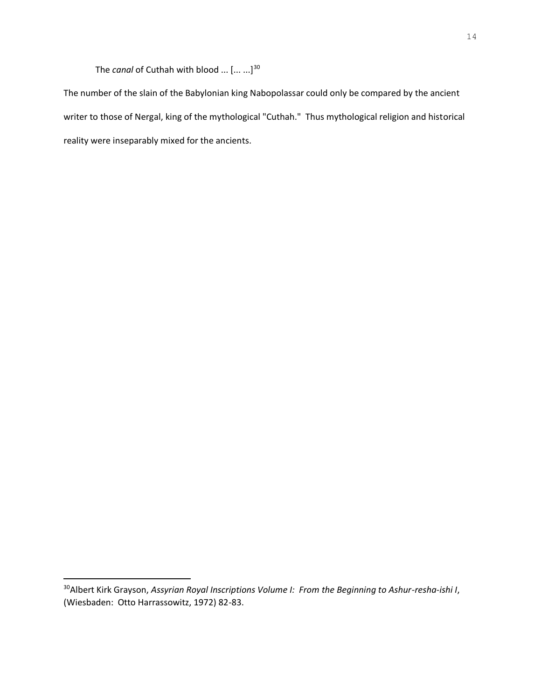The *canal* of Cuthah with blood ... [... ...]<sup>30</sup>

The number of the slain of the Babylonian king Nabopolassar could only be compared by the ancient writer to those of Nergal, king of the mythological "Cuthah." Thus mythological religion and historical reality were inseparably mixed for the ancients.

<sup>30</sup>Albert Kirk Grayson, *Assyrian Royal Inscriptions Volume I: From the Beginning to Ashur-resha-ishi I*, (Wiesbaden: Otto Harrassowitz, 1972) 82-83.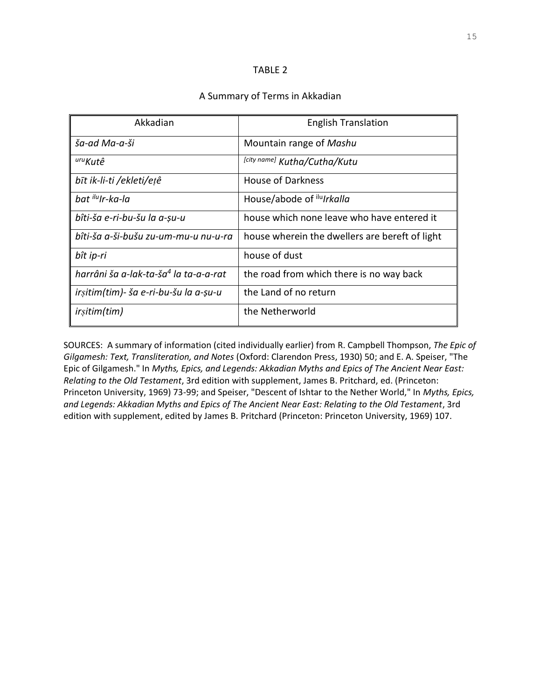# TABLE 2

# A Summary of Terms in Akkadian

| Akkadian                                          | <b>English Translation</b>                     |  |
|---------------------------------------------------|------------------------------------------------|--|
| ša-ad Ma-a-ši                                     | Mountain range of Mashu                        |  |
| uru Kutê                                          | [city name] Kutha/Cutha/Kutu                   |  |
| bīt ik-li-ti /ekleti/ețê                          | House of Darkness                              |  |
| bat <sup>ilu</sup> lr-ka-la                       | House/abode of ilulrkalla                      |  |
| bîti-ša e-ri-bu-šu la a-șu-u                      | house which none leave who have entered it     |  |
| bîti-ša a-ši-bušu zu-um-mu-u nu-u-ra              | house wherein the dwellers are bereft of light |  |
| bît ip-ri                                         | house of dust                                  |  |
| harrâni ša a-lak-ta-ša <sup>4</sup> la ta-a-a-rat | the road from which there is no way back       |  |
| irsitim(tim)- ša e-ri-bu-šu la a-șu-u             | the Land of no return                          |  |
| <i>irsitim(tim)</i>                               | the Netherworld                                |  |

SOURCES: A summary of information (cited individually earlier) from R. Campbell Thompson, *The Epic of Gilgamesh: Text, Transliteration, and Notes* (Oxford: Clarendon Press, 1930) 50; and E. A. Speiser, "The Epic of Gilgamesh." In *Myths, Epics, and Legends: Akkadian Myths and Epics of The Ancient Near East: Relating to the Old Testament*, 3rd edition with supplement, James B. Pritchard, ed. (Princeton: Princeton University, 1969) 73-99; and Speiser, "Descent of Ishtar to the Nether World," In *Myths, Epics, and Legends: Akkadian Myths and Epics of The Ancient Near East: Relating to the Old Testament*, 3rd edition with supplement, edited by James B. Pritchard (Princeton: Princeton University, 1969) 107.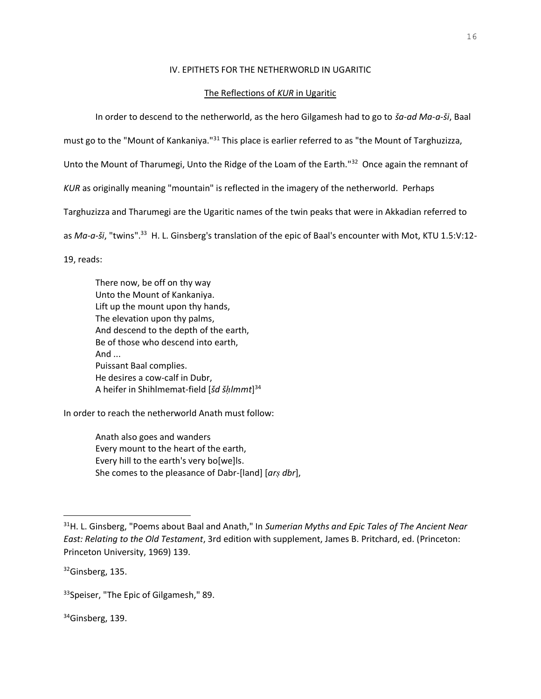# IV. EPITHETS FOR THE NETHERWORLD IN UGARITIC

# The Reflections of *KUR* in Ugaritic

In order to descend to the netherworld, as the hero Gilgamesh had to go to *ša-ad Ma-a-ši*, Baal

must go to the "Mount of Kankaniya."<sup>31</sup> This place is earlier referred to as "the Mount of Targhuzizza,

Unto the Mount of Tharumegi, Unto the Ridge of the Loam of the Earth."<sup>32</sup> Once again the remnant of

*KUR* as originally meaning "mountain" is reflected in the imagery of the netherworld. Perhaps

Targhuzizza and Tharumegi are the Ugaritic names of the twin peaks that were in Akkadian referred to

as *Ma-a-ši*, "twins".<sup>33</sup> H. L. Ginsberg's translation of the epic of Baal's encounter with Mot, KTU 1.5:V:12-

19, reads:

There now, be off on thy way Unto the Mount of Kankaniya. Lift up the mount upon thy hands, The elevation upon thy palms, And descend to the depth of the earth, Be of those who descend into earth, And ... Puissant Baal complies. He desires a cow-calf in Dubr, A heifer in Shihlmemat-field [*šd šḥlmmt*] 34

In order to reach the netherworld Anath must follow:

Anath also goes and wanders Every mount to the heart of the earth, Every hill to the earth's very bo[we]ls. She comes to the pleasance of Dabr-[land] [*arṣ dbr*],

<sup>32</sup>Ginsberg, 135.

<sup>34</sup>Ginsberg, 139.

<sup>31</sup>H. L. Ginsberg, "Poems about Baal and Anath," In *Sumerian Myths and Epic Tales of The Ancient Near East: Relating to the Old Testament*, 3rd edition with supplement, James B. Pritchard, ed. (Princeton: Princeton University, 1969) 139.

<sup>33</sup>Speiser, "The Epic of Gilgamesh," 89.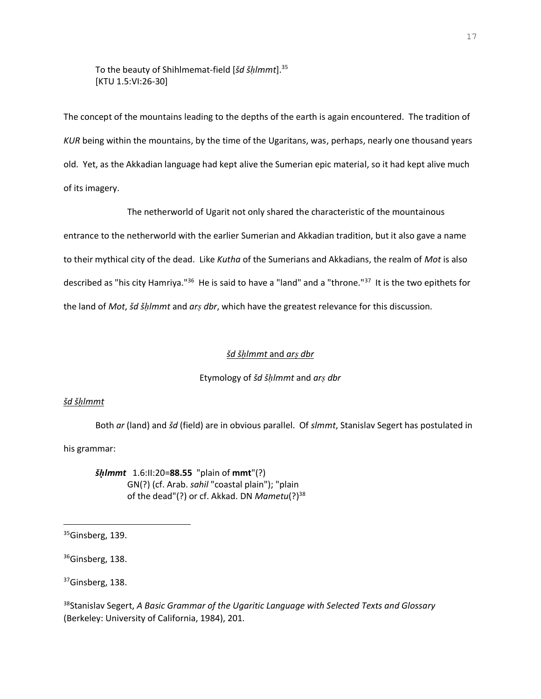To the beauty of Shihlmemat-field [*šd šḥlmmt*].<sup>35</sup> [KTU 1.5:VI:26-30]

The concept of the mountains leading to the depths of the earth is again encountered. The tradition of *KUR* being within the mountains, by the time of the Ugaritans, was, perhaps, nearly one thousand years old. Yet, as the Akkadian language had kept alive the Sumerian epic material, so it had kept alive much of its imagery.

The netherworld of Ugarit not only shared the characteristic of the mountainous entrance to the netherworld with the earlier Sumerian and Akkadian tradition, but it also gave a name to their mythical city of the dead. Like *Kutha* of the Sumerians and Akkadians, the realm of *Mot* is also described as "his city Hamriya."<sup>36</sup> He is said to have a "land" and a "throne."<sup>37</sup> It is the two epithets for the land of *Mot*, *šd šḥlmmt* and *arṣ dbr*, which have the greatest relevance for this discussion.

# *šd šḥlmmt* and *arṣ dbr*

# Etymology of *šd šḥlmmt* and *arṣ dbr*

#### *šd šḥlmmt*

Both *ar* (land) and *šd* (field) are in obvious parallel. Of *slmmt*, Stanislav Segert has postulated in

his grammar:

*šḥlmmt* 1.6:II:20=**88.55** "plain of **mmt**"(?) GN(?) (cf. Arab. *sahil* "coastal plain"); "plain of the dead"(?) or cf. Akkad. DN *Mametu*(?)<sup>38</sup>

<sup>37</sup>Ginsberg, 138.

<sup>38</sup>Stanislav Segert, *A Basic Grammar of the Ugaritic Language with Selected Texts and Glossary* (Berkeley: University of California, 1984), 201.

<sup>&</sup>lt;sup>35</sup>Ginsberg, 139.

<sup>&</sup>lt;sup>36</sup>Ginsberg, 138.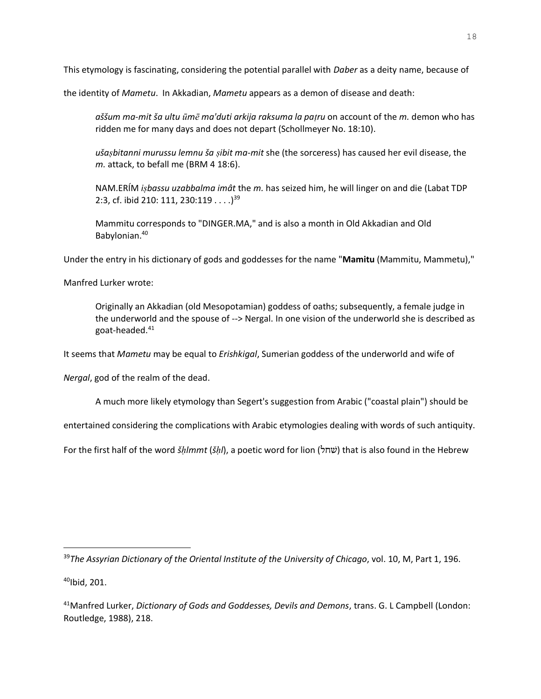This etymology is fascinating, considering the potential parallel with *Daber* as a deity name, because of

the identity of *Mametu*. In Akkadian, *Mametu* appears as a demon of disease and death:

*aššum ma-mit ša ultu ūmē ma'duti arkija raksuma la paṭru* on account of the *m.* demon who has ridden me for many days and does not depart (Schollmeyer No. 18:10).

*ušaṣbitanni murussu lemnu ša ṣibit ma-mit* she (the sorceress) has caused her evil disease, the *m.* attack, to befall me (BRM 4 18:6).

NAM.ERÍM *iṣbassu uzabbalma imât* the *m.* has seized him, he will linger on and die (Labat TDP 2:3, cf. ibid 210: 111, 230:119 . . . .)<sup>39</sup>

Mammitu corresponds to "DINGER.MA," and is also a month in Old Akkadian and Old Babylonian.<sup>40</sup>

Under the entry in his dictionary of gods and goddesses for the name "**Mamitu** (Mammitu, Mammetu),"

Manfred Lurker wrote:

Originally an Akkadian (old Mesopotamian) goddess of oaths; subsequently, a female judge in the underworld and the spouse of --> Nergal. In one vision of the underworld she is described as goat-headed.<sup>41</sup>

It seems that *Mametu* may be equal to *Erishkigal*, Sumerian goddess of the underworld and wife of

*Nergal*, god of the realm of the dead.

A much more likely etymology than Segert's suggestion from Arabic ("coastal plain") should be

entertained considering the complications with Arabic etymologies dealing with words of such antiquity.

For the first half of the word *šḥlmmt* (*šḥl*), a poetic word for lion (שחל (that is also found in the Hebrew

<sup>40</sup>Ibid, 201.

<sup>&</sup>lt;sup>39</sup>The Assyrian Dictionary of the Oriental Institute of the University of Chicago, vol. 10, M, Part 1, 196.

<sup>41</sup>Manfred Lurker, *Dictionary of Gods and Goddesses, Devils and Demons*, trans. G. L Campbell (London: Routledge, 1988), 218.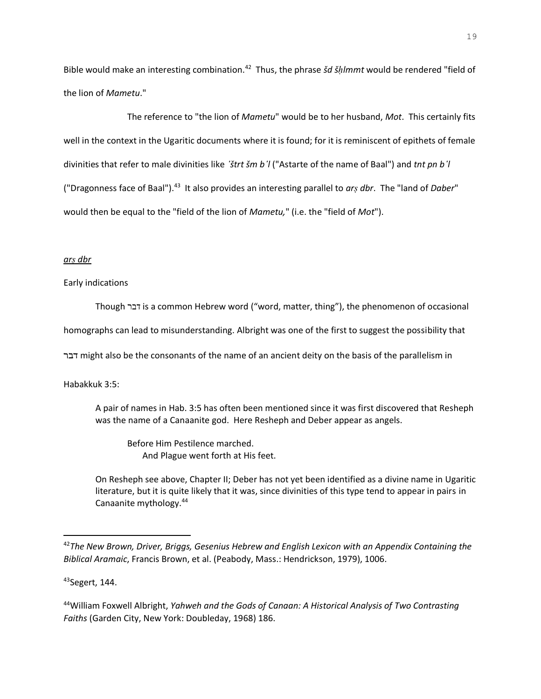Bible would make an interesting combination.<sup>42</sup> Thus, the phrase *šd š<sub><i>hlmmt* would be rendered "field of</sub> the lion of *Mametu*."

The reference to "the lion of *Mametu*" would be to her husband, *Mot*. This certainly fits well in the context in the Ugaritic documents where it is found; for it is reminiscent of epithets of female divinities that refer to male divinities like *'štrt šm b'l* ("Astarte of the name of Baal") and *tnt pn b'l* ("Dragonness face of Baal").<sup>43</sup> It also provides an interesting parallel to *arş dbr*. The "land of *Daber*" would then be equal to the "field of the lion of *Mametu,*" (i.e. the "field of *Mot*").

### *arṣ dbr*

#### Early indications

Though דבר is a common Hebrew word ("word, matter, thing"), the phenomenon of occasional

homographs can lead to misunderstanding. Albright was one of the first to suggest the possibility that

דבר might also be the consonants of the name of an ancient deity on the basis of the parallelism in

### Habakkuk 3:5:

A pair of names in Hab. 3:5 has often been mentioned since it was first discovered that Resheph was the name of a Canaanite god. Here Resheph and Deber appear as angels.

Before Him Pestilence marched. And Plague went forth at His feet.

On Resheph see above, Chapter II; Deber has not yet been identified as a divine name in Ugaritic literature, but it is quite likely that it was, since divinities of this type tend to appear in pairs in Canaanite mythology.<sup>44</sup>

<sup>43</sup>Segert, 144.

<sup>44</sup>William Foxwell Albright, *Yahweh and the Gods of Canaan: A Historical Analysis of Two Contrasting Faiths* (Garden City, New York: Doubleday, 1968) 186.

<sup>42</sup>*The New Brown, Driver, Briggs, Gesenius Hebrew and English Lexicon with an Appendix Containing the Biblical Aramaic*, Francis Brown, et al. (Peabody, Mass.: Hendrickson, 1979), 1006.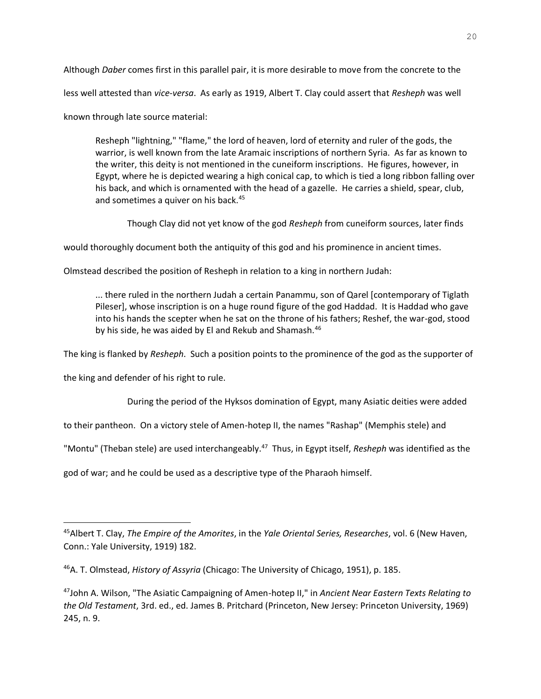Although *Daber* comes first in this parallel pair, it is more desirable to move from the concrete to the

less well attested than *vice-versa*. As early as 1919, Albert T. Clay could assert that *Resheph* was well

known through late source material:

Resheph "lightning," "flame," the lord of heaven, lord of eternity and ruler of the gods, the warrior, is well known from the late Aramaic inscriptions of northern Syria. As far as known to the writer, this deity is not mentioned in the cuneiform inscriptions. He figures, however, in Egypt, where he is depicted wearing a high conical cap, to which is tied a long ribbon falling over his back, and which is ornamented with the head of a gazelle. He carries a shield, spear, club, and sometimes a quiver on his back.<sup>45</sup>

Though Clay did not yet know of the god *Resheph* from cuneiform sources, later finds

would thoroughly document both the antiquity of this god and his prominence in ancient times.

Olmstead described the position of Resheph in relation to a king in northern Judah:

... there ruled in the northern Judah a certain Panammu, son of Qarel [contemporary of Tiglath Pileser], whose inscription is on a huge round figure of the god Haddad. It is Haddad who gave into his hands the scepter when he sat on the throne of his fathers; Reshef, the war-god, stood by his side, he was aided by El and Rekub and Shamash.<sup>46</sup>

The king is flanked by *Resheph*. Such a position points to the prominence of the god as the supporter of

the king and defender of his right to rule.

During the period of the Hyksos domination of Egypt, many Asiatic deities were added

to their pantheon. On a victory stele of Amen-hotep II, the names "Rashap" (Memphis stele) and

"Montu" (Theban stele) are used interchangeably.<sup>47</sup> Thus, in Egypt itself, *Resheph* was identified as the

god of war; and he could be used as a descriptive type of the Pharaoh himself.

<sup>45</sup>Albert T. Clay, *The Empire of the Amorites*, in the *Yale Oriental Series, Researches*, vol. 6 (New Haven, Conn.: Yale University, 1919) 182.

<sup>46</sup>A. T. Olmstead, *History of Assyria* (Chicago: The University of Chicago, 1951), p. 185.

<sup>47</sup>John A. Wilson, "The Asiatic Campaigning of Amen-hotep II," in *Ancient Near Eastern Texts Relating to the Old Testament*, 3rd. ed., ed. James B. Pritchard (Princeton, New Jersey: Princeton University, 1969) 245, n. 9.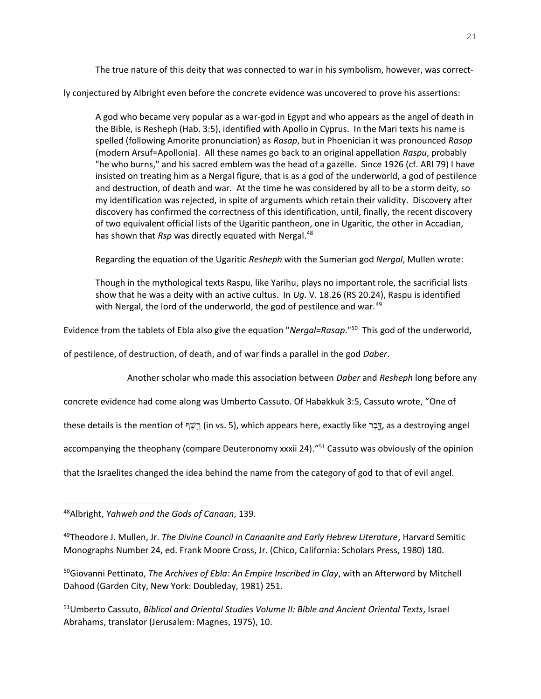The true nature of this deity that was connected to war in his symbolism, however, was correct-

ly conjectured by Albright even before the concrete evidence was uncovered to prove his assertions:

A god who became very popular as a war-god in Egypt and who appears as the angel of death in the Bible, is Resheph (Hab. 3:5), identified with Apollo in Cyprus. In the Mari texts his name is spelled (following Amorite pronunciation) as *Rasap*, but in Phoenician it was pronounced *Rasop* (modern Arsuf=Apollonia). All these names go back to an original appellation *Raspu*, probably "he who burns," and his sacred emblem was the head of a gazelle. Since 1926 (cf. ARI 79) I have insisted on treating him as a Nergal figure, that is as a god of the underworld, a god of pestilence and destruction, of death and war. At the time he was considered by all to be a storm deity, so my identification was rejected, in spite of arguments which retain their validity. Discovery after discovery has confirmed the correctness of this identification, until, finally, the recent discovery of two equivalent official lists of the Ugaritic pantheon, one in Ugaritic, the other in Accadian, has shown that *Rsp* was directly equated with Nergal.<sup>48</sup>

Regarding the equation of the Ugaritic *Resheph* with the Sumerian god *Nergal*, Mullen wrote:

Though in the mythological texts Raspu, like Yarihu, plays no important role, the sacrificial lists show that he was a deity with an active cultus. In *Ug*. V. 18.26 (RS 20.24), Raspu is identified with Nergal, the lord of the underworld, the god of pestilence and war.<sup>49</sup>

Evidence from the tablets of Ebla also give the equation "*Nergal=Rasap*." 50 This god of the underworld,

of pestilence, of destruction, of death, and of war finds a parallel in the god *Daber*.

Another scholar who made this association between *Daber* and *Resheph* long before any

concrete evidence had come along was Umberto Cassuto. Of Habakkuk 3:5, Cassuto wrote, "One of

these details is the mention of יְבֶּשֶׁה (in vs. 5), which appears here, exactly like רֲבֶר as a destroying angel

accompanying the theophany (compare Deuteronomy xxxii 24).<sup>"51</sup> Cassuto was obviously of the opinion

that the Israelites changed the idea behind the name from the category of god to that of evil angel.

<sup>49</sup>Theodore J. Mullen, Jr. *The Divine Council in Canaanite and Early Hebrew Literature*, Harvard Semitic Monographs Number 24, ed. Frank Moore Cross, Jr. (Chico, California: Scholars Press, 1980) 180.

<sup>50</sup>Giovanni Pettinato, *The Archives of Ebla: An Empire Inscribed in Clay*, with an Afterword by Mitchell Dahood (Garden City, New York: Doubleday, 1981) 251.

<sup>51</sup>Umberto Cassuto, *Biblical and Oriental Studies Volume II: Bible and Ancient Oriental Texts*, Israel Abrahams, translator (Jerusalem: Magnes, 1975), 10.

<sup>48</sup>Albright, *Yahweh and the Gods of Canaan*, 139.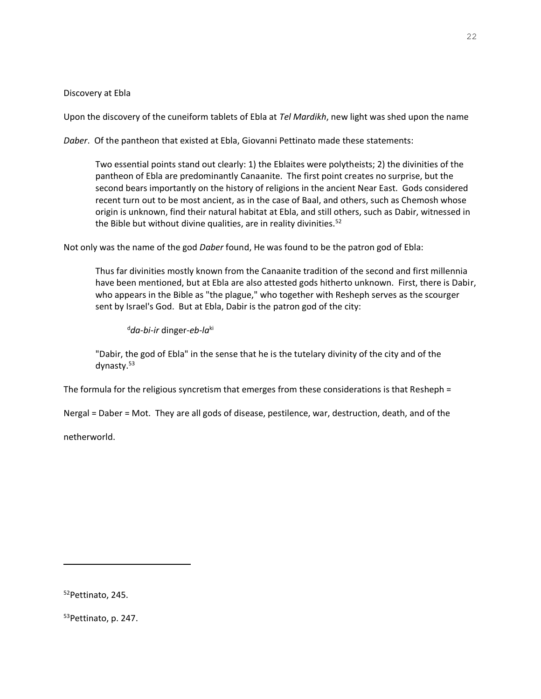# Discovery at Ebla

Upon the discovery of the cuneiform tablets of Ebla at *Tel Mardikh*, new light was shed upon the name

*Daber*. Of the pantheon that existed at Ebla, Giovanni Pettinato made these statements:

Two essential points stand out clearly: 1) the Eblaites were polytheists; 2) the divinities of the pantheon of Ebla are predominantly Canaanite. The first point creates no surprise, but the second bears importantly on the history of religions in the ancient Near East. Gods considered recent turn out to be most ancient, as in the case of Baal, and others, such as Chemosh whose origin is unknown, find their natural habitat at Ebla, and still others, such as Dabir, witnessed in the Bible but without divine qualities, are in reality divinities.<sup>52</sup>

Not only was the name of the god *Daber* found, He was found to be the patron god of Ebla:

Thus far divinities mostly known from the Canaanite tradition of the second and first millennia have been mentioned, but at Ebla are also attested gods hitherto unknown. First, there is Dabir, who appears in the Bible as "the plague," who together with Resheph serves as the scourger sent by Israel's God. But at Ebla, Dabir is the patron god of the city:

<sup>d</sup>*da-bi-ir* dinger*-eb-la*ki

"Dabir, the god of Ebla" in the sense that he is the tutelary divinity of the city and of the dynasty.<sup>53</sup>

The formula for the religious syncretism that emerges from these considerations is that Resheph =

Nergal = Daber = Mot. They are all gods of disease, pestilence, war, destruction, death, and of the

netherworld.

<sup>52</sup>Pettinato, 245.

53Pettinato, p. 247.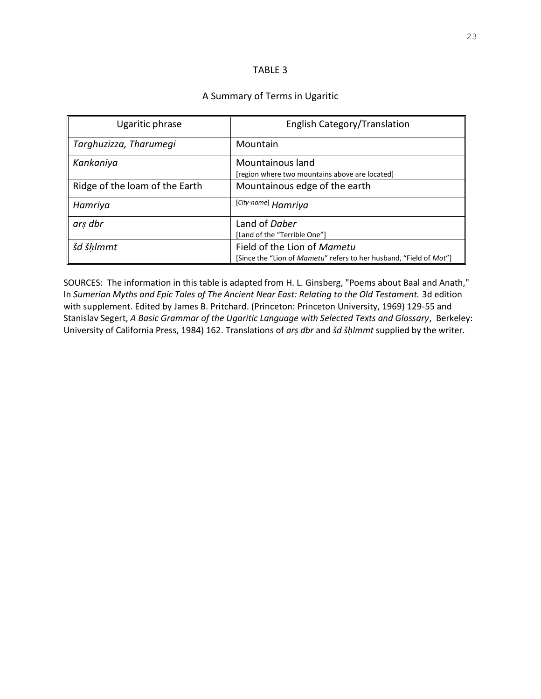# TABLE 3

# A Summary of Terms in Ugaritic

| Ugaritic phrase                | English Category/Translation                                       |
|--------------------------------|--------------------------------------------------------------------|
| Targhuzizza, Tharumegi         | Mountain                                                           |
| Kankaniya                      | Mountainous land                                                   |
|                                | [region where two mountains above are located]                     |
| Ridge of the loam of the Earth | Mountainous edge of the earth                                      |
| Hamriya                        | [City-name] Hamriya                                                |
| ars dbr                        | Land of Daber                                                      |
|                                | [Land of the "Terrible One"]                                       |
| šd šhlmmt                      | Field of the Lion of Mametu                                        |
|                                | [Since the "Lion of Mametu" refers to her husband, "Field of Mot"] |

SOURCES: The information in this table is adapted from H. L. Ginsberg, "Poems about Baal and Anath," In *Sumerian Myths and Epic Tales of The Ancient Near East: Relating to the Old Testament.* 3d edition with supplement. Edited by James B. Pritchard. (Princeton: Princeton University, 1969) 129-55 and Stanislav Segert, *A Basic Grammar of the Ugaritic Language with Selected Texts and Glossary*, Berkeley: University of California Press, 1984) 162. Translations of *arṣ dbr* and *šd šḥlmmt* supplied by the writer.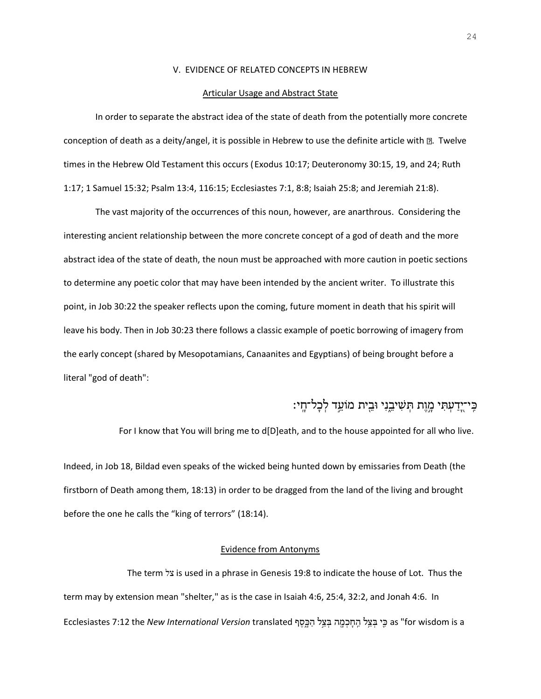#### V. EVIDENCE OF RELATED CONCEPTS IN HEBREW

#### Articular Usage and Abstract State

In order to separate the abstract idea of the state of death from the potentially more concrete conception of death as a deity/angel, it is possible in Hebrew to use the definite article with **D.** Twelve times in the Hebrew Old Testament this occurs (Exodus 10:17; Deuteronomy 30:15, 19, and 24; Ruth 1:17; 1 Samuel 15:32; Psalm 13:4, 116:15; Ecclesiastes 7:1, 8:8; Isaiah 25:8; and Jeremiah 21:8).

The vast majority of the occurrences of this noun, however, are anarthrous. Considering the interesting ancient relationship between the more concrete concept of a god of death and the more abstract idea of the state of death, the noun must be approached with more caution in poetic sections to determine any poetic color that may have been intended by the ancient writer. To illustrate this point, in Job 30:22 the speaker reflects upon the coming, future moment in death that his spirit will leave his body. Then in Job 30:23 there follows a classic example of poetic borrowing of imagery from the early concept (shared by Mesopotamians, Canaanites and Egyptians) of being brought before a literal "god of death":

# ּבִי־יָדַעְתִּי מֳוֶת תְּשִׁיבֵנִי וּבֵית מוֹעֵד לְכָל־חֶי:

For I know that You will bring me to d[D]eath, and to the house appointed for all who live.

Indeed, in Job 18, Bildad even speaks of the wicked being hunted down by emissaries from Death (the firstborn of Death among them, 18:13) in order to be dragged from the land of the living and brought before the one he calls the "king of terrors" (18:14).

### Evidence from Antonyms

The term צל is used in a phrase in Genesis 19:8 to indicate the house of Lot. Thus the term may by extension mean "shelter," as is the case in Isaiah 4:6, 25:4, 32:2, and Jonah 4:6. In as "for wisdom is a בֵּי בְּצֵל הַחֲכְמֵה בְּצֵל הַכֵּסֵף Ecclesiastes 7:12 the *New International Version* translated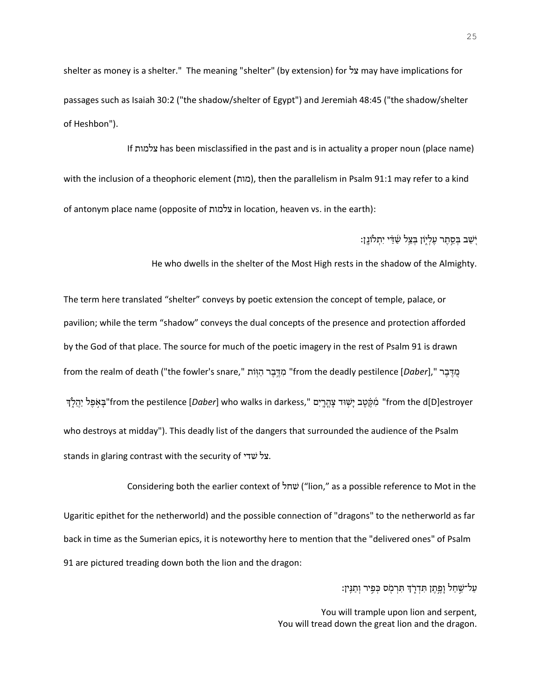shelter as money is a shelter." The meaning "shelter" (by extension) for צל may have implications for passages such as Isaiah 30:2 ("the shadow/shelter of Egypt") and Jeremiah 48:45 ("the shadow/shelter of Heshbon").

If צלמות has been misclassified in the past and is in actuality a proper noun (place name) with the inclusion of a theophoric element (מות), then the parallelism in Psalm 91:1 may refer to a kind of antonym place name (opposite of צלמות in location, heaven vs. in the earth):

יִשֶׁב בְּסֵתֶר עֵלְיוֹן בְּצֵל שַׁדִּי יִתְלוֹנֵן:

He who dwells in the shelter of the Most High rests in the shadow of the Almighty.

The term here translated "shelter" conveys by poetic extension the concept of temple, palace, or pavilion; while the term "shadow" conveys the dual concepts of the presence and protection afforded by the God of that place. The source for much of the poetic imagery in the rest of Psalm 91 is drawn from the realm of death ("the fowler's snare," מִדְּבֵר הוּוֹת "from the deadly pestilence [*Daber*]," מִדְּבֵר יהֵלֶךְ (from the pestilence [*Daber*] who walks in darkess," מַקֵּמֵּב יָשְׁוּד צָהֶרֶדָ "from the pestilence [*Daber*] who walks in darkess," בְּאִמֵּל יַהֲלָךָ who destroys at midday"). This deadly list of the dangers that surrounded the audience of the Psalm stands in glaring contrast with the security of שדי צל.

Considering both the earlier context of שחל") lion," as a possible reference to Mot in the Ugaritic epithet for the netherworld) and the possible connection of "dragons" to the netherworld as far back in time as the Sumerian epics, it is noteworthy here to mention that the "delivered ones" of Psalm 91 are pictured treading down both the lion and the dragon:

ַעֲל־שַׁחַל וָפֶּתֶן תִּדְרֶךְ תִּרְמְס כְּפִיר וְתַגִּין:

You will trample upon lion and serpent, You will tread down the great lion and the dragon.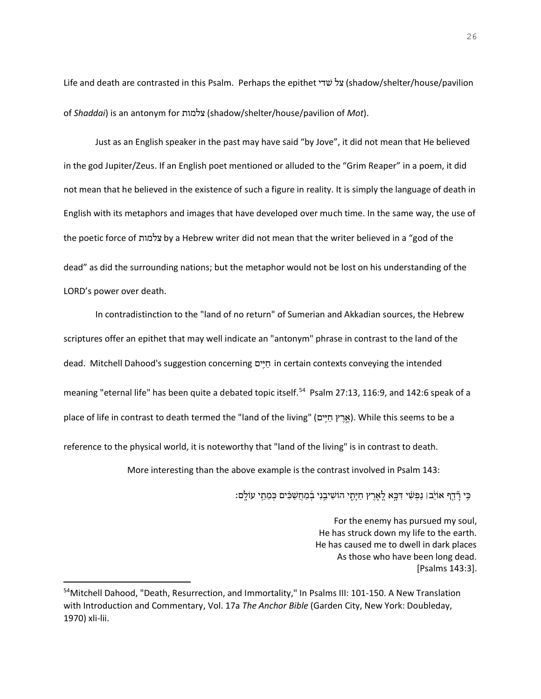Life and death are contrasted in this Psalm. Perhaps the epithet שדי צל) shadow/shelter/house/pavilion of *Shaddai*) is an antonym for צלמות) shadow/shelter/house/pavilion of *Mot*).

Just as an English speaker in the past may have said "by Jove", it did not mean that He believed in the god Jupiter/Zeus. If an English poet mentioned or alluded to the "Grim Reaper" in a poem, it did not mean that he believed in the existence of such a figure in reality. It is simply the language of death in English with its metaphors and images that have developed over much time. In the same way, the use of the poetic force of צלמות by a Hebrew writer did not mean that the writer believed in a "god of the dead" as did the surrounding nations; but the metaphor would not be lost on his understanding of the LORD's power over death.

In contradistinction to the "land of no return" of Sumerian and Akkadian sources, the Hebrew scriptures offer an epithet that may well indicate an "antonym" phrase in contrast to the land of the dead. Mitchell Dahood's suggestion concerning ים י ַח in certain contexts conveying the intended meaning "eternal life" has been quite a debated topic itself.<sup>54</sup> Psalm 27:13, 116:9, and 142:6 speak of a place of life in contrast to death termed the "land of the living" (אֱרֵץ חָיֵּים). While this seems to be a reference to the physical world, it is noteworthy that "land of the living" is in contrast to death.

More interesting than the above example is the contrast involved in Psalm 143:

ַּבִּי רָּבֵ֣ךְ אוֹיָ֥ב׀ נַפְשִׂי דְּכֵ֣א לֵאֲרֵ֣ץ חַיַּתֵ֣י הוֹשִׁיבֵ֣נִי בְ֫מַחֲשָׁכִּ֖ים כְּמֶתֵ֣י עוֹלֵם׃

For the enemy has pursued my soul, He has struck down my life to the earth. He has caused me to dwell in dark places As those who have been long dead. [Psalms 143:3].

<sup>&</sup>lt;sup>54</sup>Mitchell Dahood, "Death, Resurrection, and Immortality," In Psalms III: 101-150. A New Translation with Introduction and Commentary, Vol. 17a *The Anchor Bible* (Garden City, New York: Doubleday, 1970) xli-lii.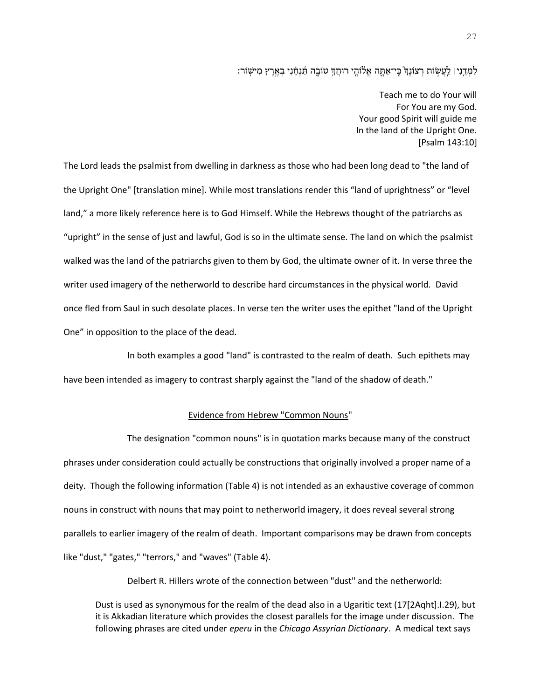ַלַמְדֵיִ׀ לֵעֲשָׂוֹת רְצוֹנֵךְ כֵּי־אָתֵּה אֱלֹוֹהֵי רוּחֲךָ טוֹבָה תַנְחֶנִי בִּאֲרֶץ מִישָׁוֹר:

Teach me to do Your will For You are my God. Your good Spirit will guide me In the land of the Upright One. [Psalm 143:10]

The Lord leads the psalmist from dwelling in darkness as those who had been long dead to "the land of the Upright One" [translation mine]. While most translations render this "land of uprightness" or "level land," a more likely reference here is to God Himself. While the Hebrews thought of the patriarchs as "upright" in the sense of just and lawful, God is so in the ultimate sense. The land on which the psalmist walked was the land of the patriarchs given to them by God, the ultimate owner of it. In verse three the writer used imagery of the netherworld to describe hard circumstances in the physical world. David once fled from Saul in such desolate places. In verse ten the writer uses the epithet "land of the Upright One" in opposition to the place of the dead.

In both examples a good "land" is contrasted to the realm of death. Such epithets may have been intended as imagery to contrast sharply against the "land of the shadow of death."

#### Evidence from Hebrew "Common Nouns"

The designation "common nouns" is in quotation marks because many of the construct phrases under consideration could actually be constructions that originally involved a proper name of a deity. Though the following information (Table 4) is not intended as an exhaustive coverage of common nouns in construct with nouns that may point to netherworld imagery, it does reveal several strong parallels to earlier imagery of the realm of death. Important comparisons may be drawn from concepts like "dust," "gates," "terrors," and "waves" (Table 4).

Delbert R. Hillers wrote of the connection between "dust" and the netherworld:

Dust is used as synonymous for the realm of the dead also in a Ugaritic text (17[2Aqht].I.29), but it is Akkadian literature which provides the closest parallels for the image under discussion. The following phrases are cited under *eperu* in the *Chicago Assyrian Dictionary*. A medical text says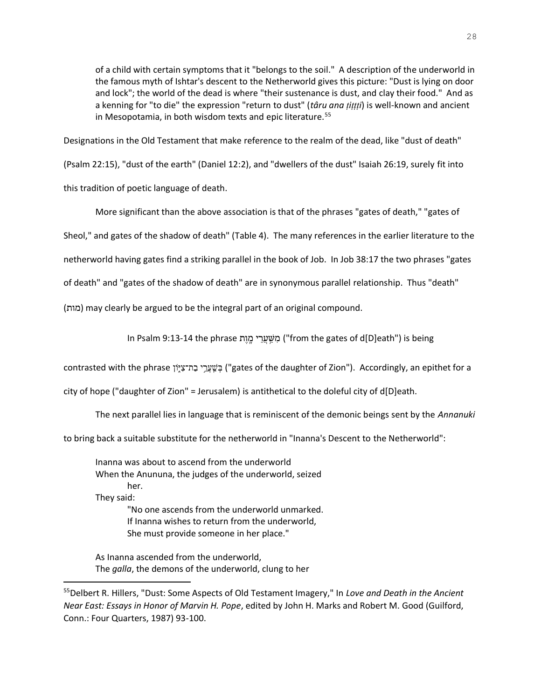of a child with certain symptoms that it "belongs to the soil." A description of the underworld in the famous myth of Ishtar's descent to the Netherworld gives this picture: "Dust is lying on door and lock"; the world of the dead is where "their sustenance is dust, and clay their food." And as a kenning for "to die" the expression "return to dust" (*târu ana ṭiṭṭṭi*) is well-known and ancient in Mesopotamia, in both wisdom texts and epic literature.<sup>55</sup>

Designations in the Old Testament that make reference to the realm of the dead, like "dust of death"

(Psalm 22:15), "dust of the earth" (Daniel 12:2), and "dwellers of the dust" Isaiah 26:19, surely fit into this tradition of poetic language of death.

More significant than the above association is that of the phrases "gates of death," "gates of

Sheol," and gates of the shadow of death" (Table 4). The many references in the earlier literature to the

netherworld having gates find a striking parallel in the book of Job. In Job 38:17 the two phrases "gates

of death" and "gates of the shadow of death" are in synonymous parallel relationship. Thus "death"

( מות (may clearly be argued to be the integral part of an original compound.

In Psalm 9:13-14 the phrase מְעֵתֲרֵי מֵוֶת ("from the gates of d[D]eath") is being

contrasted with the phrase וןָֹּ֑י ִת־צַב י ֵ֥ רֲע ַַֽׁש ְּב") gates of the daughter of Zion"). Accordingly, an epithet for a

city of hope ("daughter of Zion" = Jerusalem) is antithetical to the doleful city of  $d[D]$ eath.

The next parallel lies in language that is reminiscent of the demonic beings sent by the *Annanuki*

to bring back a suitable substitute for the netherworld in "Inanna's Descent to the Netherworld":

Inanna was about to ascend from the underworld When the Anununa, the judges of the underworld, seized her. They said: "No one ascends from the underworld unmarked. If Inanna wishes to return from the underworld,

She must provide someone in her place."

As Inanna ascended from the underworld, The *galla*, the demons of the underworld, clung to her

<sup>55</sup>Delbert R. Hillers, "Dust: Some Aspects of Old Testament Imagery," In *Love and Death in the Ancient Near East: Essays in Honor of Marvin H. Pope*, edited by John H. Marks and Robert M. Good (Guilford, Conn.: Four Quarters, 1987) 93-100.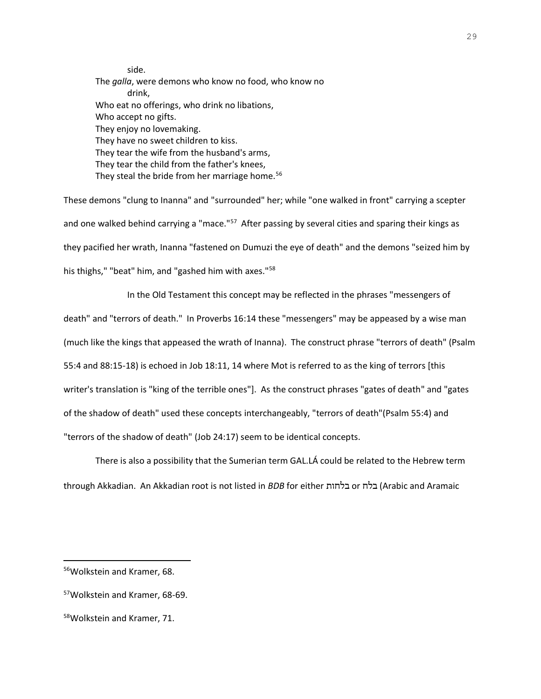side. The *galla*, were demons who know no food, who know no drink, Who eat no offerings, who drink no libations, Who accept no gifts. They enjoy no lovemaking. They have no sweet children to kiss. They tear the wife from the husband's arms, They tear the child from the father's knees, They steal the bride from her marriage home. $56$ 

These demons "clung to Inanna" and "surrounded" her; while "one walked in front" carrying a scepter and one walked behind carrying a "mace."<sup>57</sup> After passing by several cities and sparing their kings as they pacified her wrath, Inanna "fastened on Dumuzi the eye of death" and the demons "seized him by his thighs," "beat" him, and "gashed him with axes."<sup>58</sup>

In the Old Testament this concept may be reflected in the phrases "messengers of death" and "terrors of death." In Proverbs 16:14 these "messengers" may be appeased by a wise man (much like the kings that appeased the wrath of Inanna). The construct phrase "terrors of death" (Psalm 55:4 and 88:15-18) is echoed in Job 18:11, 14 where Mot is referred to as the king of terrors [this writer's translation is "king of the terrible ones"]. As the construct phrases "gates of death" and "gates of the shadow of death" used these concepts interchangeably, "terrors of death"(Psalm 55:4) and

"terrors of the shadow of death" (Job 24:17) seem to be identical concepts.

There is also a possibility that the Sumerian term GAL.LÁ could be related to the Hebrew term through Akkadian. An Akkadian root is not listed in *BDB* for either בלחות or בלח) Arabic and Aramaic

<sup>56</sup>Wolkstein and Kramer, 68.

<sup>57</sup>Wolkstein and Kramer, 68-69.

<sup>58</sup>Wolkstein and Kramer, 71.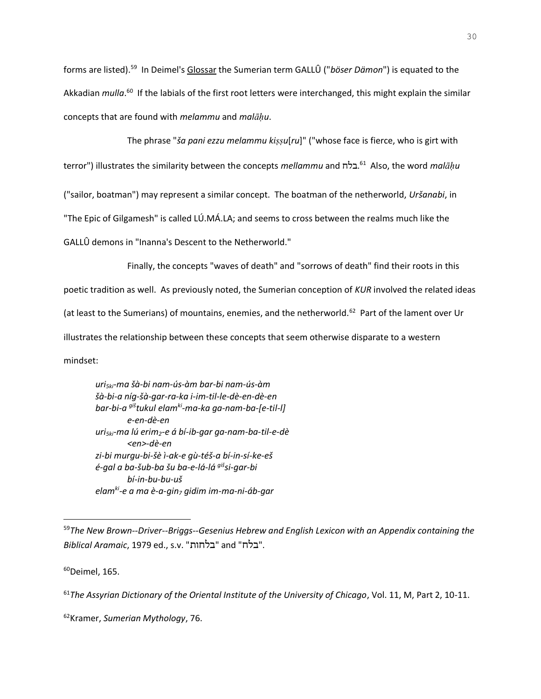forms are listed).<sup>59</sup> In Deimel's Glossar the Sumerian term GALLÛ ("*böser Dämon*") is equated to the Akkadian *mulla*.<sup>60</sup> If the labials of the first root letters were interchanged, this might explain the similar concepts that are found with *melammu* and *malāḥu*.

The phrase "*ša pani ezzu melammu kiṣṣu*[*ru*]" ("whose face is fierce, who is girt with

terror") illustrates the similarity between the concepts *mellammu* and בלח. 61 Also, the word *malāḥu*

("sailor, boatman") may represent a similar concept. The boatman of the netherworld, *Uršanabi*, in

"The Epic of Gilgamesh" is called LÚ.MÁ.LA; and seems to cross between the realms much like the

GALLÛ demons in "Inanna's Descent to the Netherworld."

Finally, the concepts "waves of death" and "sorrows of death" find their roots in this poetic tradition as well. As previously noted, the Sumerian conception of *KUR* involved the related ideas (at least to the Sumerians) of mountains, enemies, and the netherworld.<sup>62</sup> Part of the lament over Ur illustrates the relationship between these concepts that seem otherwise disparate to a western mindset:

*uri5ki-ma šà-bi nam-ús-àm bar-bi nam-ús-àm šà-bi-a níg-šà-gar-ra-ka i-im-til-le-dè-en-dè-en bar-bi-a gištukul elamki -ma-ka ga-nam-ba-[e-til-l] e-en-dè-en uri5ki-ma lú erim2-e á bí-ib-gar ga-nam-ba-til-e-dè <en>-dè-en zi-bi murgu-bi-šè ì-ak-e gù-téš-a bí-in-sí-ke-eš é-gal a ba-šub-ba šu ba-e-lá-lá gišsi-gar-bi bí-in-bu-bu-uš elamki -e a ma è-a-gin<sup>7</sup> gidim im-ma-ni-áb-gar*

 $60$ Deimel, 165.

62Kramer, *Sumerian Mythology*, 76.

<sup>59</sup>*The New Brown--Driver--Briggs--Gesenius Hebrew and English Lexicon with an Appendix containing the Biblical Aramaic*, 1979 ed., s.v. "בלחות "and "בלח".

<sup>61</sup>*The Assyrian Dictionary of the Oriental Institute of the University of Chicago*, Vol. 11, M, Part 2, 10-11.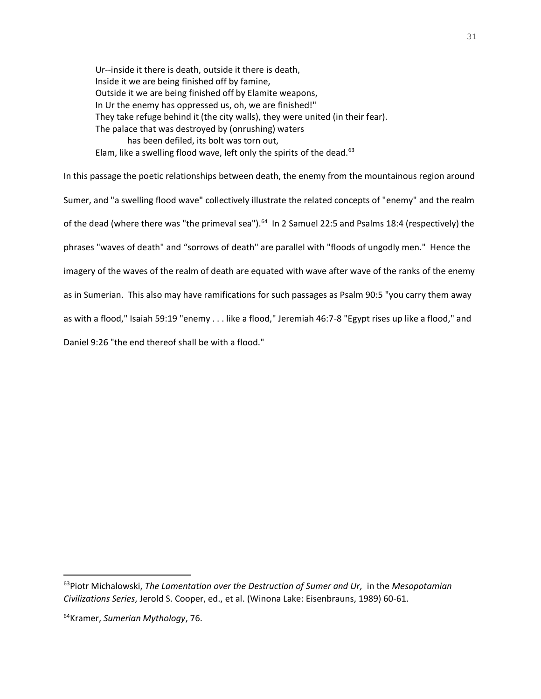Ur--inside it there is death, outside it there is death, Inside it we are being finished off by famine, Outside it we are being finished off by Elamite weapons, In Ur the enemy has oppressed us, oh, we are finished!" They take refuge behind it (the city walls), they were united (in their fear). The palace that was destroyed by (onrushing) waters has been defiled, its bolt was torn out, Elam, like a swelling flood wave, left only the spirits of the dead. $63$ 

In this passage the poetic relationships between death, the enemy from the mountainous region around Sumer, and "a swelling flood wave" collectively illustrate the related concepts of "enemy" and the realm of the dead (where there was "the primeval sea").<sup>64</sup> In 2 Samuel 22:5 and Psalms 18:4 (respectively) the phrases "waves of death" and "sorrows of death" are parallel with "floods of ungodly men." Hence the imagery of the waves of the realm of death are equated with wave after wave of the ranks of the enemy as in Sumerian. This also may have ramifications for such passages as Psalm 90:5 "you carry them away as with a flood," Isaiah 59:19 "enemy . . . like a flood," Jeremiah 46:7-8 "Egypt rises up like a flood," and Daniel 9:26 "the end thereof shall be with a flood."

<sup>63</sup>Piotr Michalowski, *The Lamentation over the Destruction of Sumer and Ur,* in the *Mesopotamian Civilizations Series*, Jerold S. Cooper, ed., et al. (Winona Lake: Eisenbrauns, 1989) 60-61.

<sup>64</sup>Kramer, *Sumerian Mythology*, 76.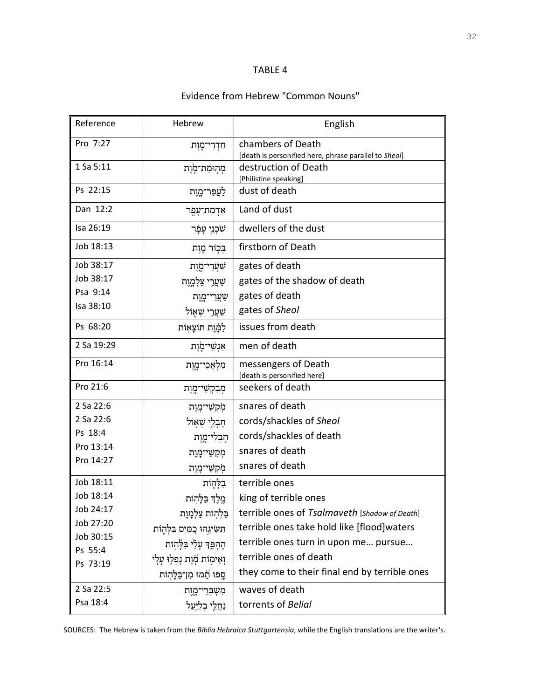# TABLE 4

# Evidence from Hebrew "Common Nouns"

| Reference  | Hebrew                           | English                                               |  |
|------------|----------------------------------|-------------------------------------------------------|--|
| Pro 7:27   | <u>חַדְרֵי־מֶוֶ</u> ת            | chambers of Death                                     |  |
|            |                                  | [death is personified here, phrase parallel to Sheol] |  |
| 1 Sa 5:11  | מִהְוּמַת־מָׂוֵת                 | destruction of Death<br>[Philistine speaking]         |  |
| Ps 22:15   | לַעֲפַר־מֱוֶת                    | dust of death                                         |  |
| Dan 12:2   | אַדְמַת־עָבֶּר                   | Land of dust                                          |  |
| Isa 26:19  | ּשֹׁכְנֵי עָפָֿר                 | dwellers of the dust                                  |  |
| Job 18:13  | בִּכְוֹר מֳוֶת                   | firstborn of Death                                    |  |
| Job 38:17  | <u>שַׁעֲרֵי־מֱוֶ</u> ת           | gates of death                                        |  |
| Job 38:17  | <u>שַׁעֲרֵי צַלְמְוֶת</u>        | gates of the shadow of death                          |  |
| Psa 9:14   | <u>שָׁעֲרֵי־מֱוֵ</u> ת           | gates of death                                        |  |
| Isa 38:10  | ּשַׁעֲרֵי שָׁאָוֹל               | gates of Sheol                                        |  |
| Ps 68:20   | לַמָּוֶת תּוֹצָאָוֹת             | issues from death                                     |  |
| 2 Sa 19:29 | אַנְשֵׁי־מָ <b>וֶת</b>           | men of death                                          |  |
| Pro 16:14  | מַלְאֲבִי־מֱוֶת                  | messengers of Death<br>[death is personified here]    |  |
| Pro 21:6   | מְבַקְשֵׁי־מֶוֶת                 | seekers of death                                      |  |
| 2 Sa 22:6  | מִקִשֵּׁי־מֱוֵת                  | snares of death                                       |  |
| 2 Sa 22:6  | ּחֶבְלֵי שְׁאָוֹל                | cords/shackles of Sheol                               |  |
| Ps 18:4    | הַבְלֵי־מֶוֶת                    | cords/shackles of death                               |  |
| Pro 13:14  | מְקְשֵׁי־מֵוֶת                   | snares of death                                       |  |
| Pro 14:27  | <b>ּ</b> מְקְשֵׁי־מֱוֶת          | snares of death                                       |  |
| Job 18:11  | בַלָּהֶוֹת                       | terrible ones                                         |  |
| Job 18:14  | ַמֱלֶדְ בַּלְהְוֹת               | king of terrible ones                                 |  |
| Job 24:17  | בַּלְהְוֹת צַלְמֱוֶת             | terrible ones of Tsalmaveth [Shadow of Death]         |  |
| Job 27:20  | תַּשִׂיגֵהוּ בִמַּיִם בַּלְהֶוֹת | terrible ones take hold like [flood] waters           |  |
| Job 30:15  | הָהִפֵּךְ עָלַי בַּלָּהְוֹת      | terrible ones turn in upon me pursue                  |  |
| Ps 55:4    | וְאֵימְוֹת מֶׁוֶת נָפְלִוּ עָלֶי | terrible ones of death                                |  |
| Ps 73:19   | מֲפו הַמוּ מִן־בַּלָּהְוֹת       | they come to their final end by terrible ones         |  |
| 2 Sa 22:5  | מִשְׁבְּרֵי־מֶוֶת                | waves of death                                        |  |
| Psa 18:4   | נְחֲלֵי בִלִיּעַל                | torrents of Belial                                    |  |

SOURCES: The Hebrew is taken from the *Biblia Hebraica Stuttgartensia*, while the English translations are the writer's.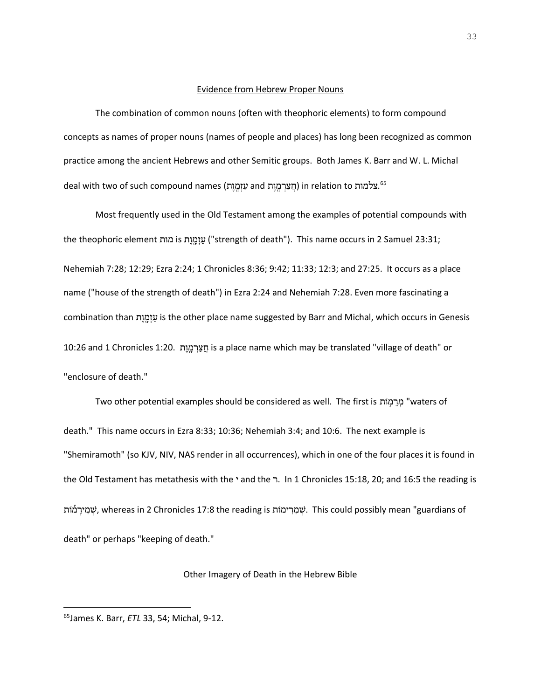#### Evidence from Hebrew Proper Nouns

The combination of common nouns (often with theophoric elements) to form compound concepts as names of proper nouns (names of people and places) has long been recognized as common practice among the ancient Hebrews and other Semitic groups. Both James K. Barr and W. L. Michal עלמות in relation to הֲצַרְמֶוֶת and עֵזְמֱוֶת) in relation to צלמות deal with two of such compound names

Most frequently used in the Old Testament among the examples of potential compounds with the theophoric element מות is מות is עזְמֵוֵת ("strength of death"). This name occurs in 2 Samuel 23:31; Nehemiah 7:28; 12:29; Ezra 2:24; 1 Chronicles 8:36; 9:42; 11:33; 12:3; and 27:25. It occurs as a place name ("house of the strength of death") in Ezra 2:24 and Nehemiah 7:28. Even more fascinating a combination than ת ֶו ֵ֖ מ ְז ַע is the other place name suggested by Barr and Michal, which occurs in Genesis 10:26 and 1 Chronicles 1:20. ת ֶו ֵ֖ מ ְר ַצ ֲח is a place name which may be translated "village of death" or "enclosure of death."

Two other potential examples should be considered as well. The first is ותֹ ַ֤מ ֵר ְמ" waters of death." This name occurs in Ezra 8:33; 10:36; Nehemiah 3:4; and 10:6. The next example is "Shemiramoth" (so KJV, NIV, NAS render in all occurrences), which in one of the four places it is found in the Old Testament has metathesis with the ' and the ". In 1 Chronicles 15:18, 20; and 16:5 the reading is שְׁמֵירָמוֹת, whereas in 2 Chronicles 17:8 the reading is שִׁמְרִימוֹת. This could possibly mean "guardians of death" or perhaps "keeping of death."

# Other Imagery of Death in the Hebrew Bible

<sup>65</sup>James K. Barr, *ETL* 33, 54; Michal, 9-12.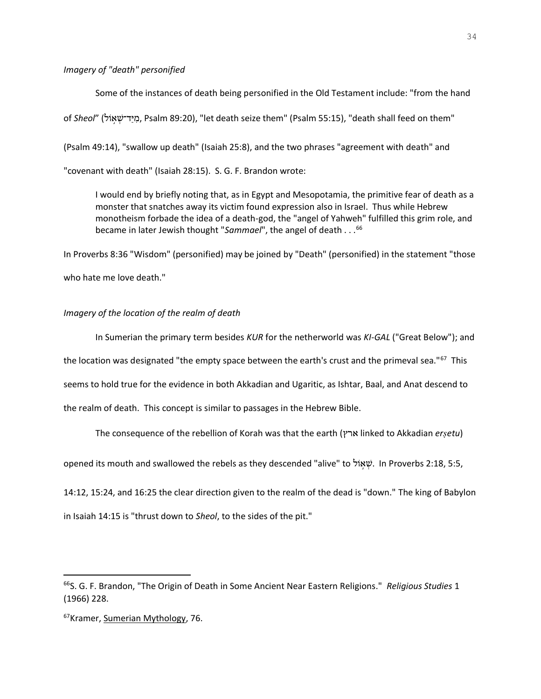### *Imagery of "death" personified*

Some of the instances of death being personified in the Old Testament include: "from the hand

of *Sheol*" (ולֹ ָ֣א ְד־שַי מ, Psalm 89:20), "let death seize them" (Psalm 55:15), "death shall feed on them"

(Psalm 49:14), "swallow up death" (Isaiah 25:8), and the two phrases "agreement with death" and

"covenant with death" (Isaiah 28:15). S. G. F. Brandon wrote:

I would end by briefly noting that, as in Egypt and Mesopotamia, the primitive fear of death as a monster that snatches away its victim found expression also in Israel. Thus while Hebrew monotheism forbade the idea of a death-god, the "angel of Yahweh" fulfilled this grim role, and became in later Jewish thought "*Sammael*", the angel of death . . . <sup>66</sup>

In Proverbs 8:36 "Wisdom" (personified) may be joined by "Death" (personified) in the statement "those who hate me love death."

### *Imagery of the location of the realm of death*

In Sumerian the primary term besides *KUR* for the netherworld was *KI-GAL* ("Great Below"); and the location was designated "the empty space between the earth's crust and the primeval sea."<sup>67</sup> This seems to hold true for the evidence in both Akkadian and Ugaritic, as Ishtar, Baal, and Anat descend to the realm of death. This concept is similar to passages in the Hebrew Bible.

The consequence of the rebellion of Korah was that the earth (ארץ linked to Akkadian *erṣetu*)

opened its mouth and swallowed the rebels as they descended "alive" to עָאוֹל . In Proverbs 2:18, 5:5,

14:12, 15:24, and 16:25 the clear direction given to the realm of the dead is "down." The king of Babylon

in Isaiah 14:15 is "thrust down to *Sheol*, to the sides of the pit."

<sup>66</sup>S. G. F. Brandon, "The Origin of Death in Some Ancient Near Eastern Religions." *Religious Studies* 1 (1966) 228.

<sup>67</sup>Kramer, Sumerian Mythology, 76.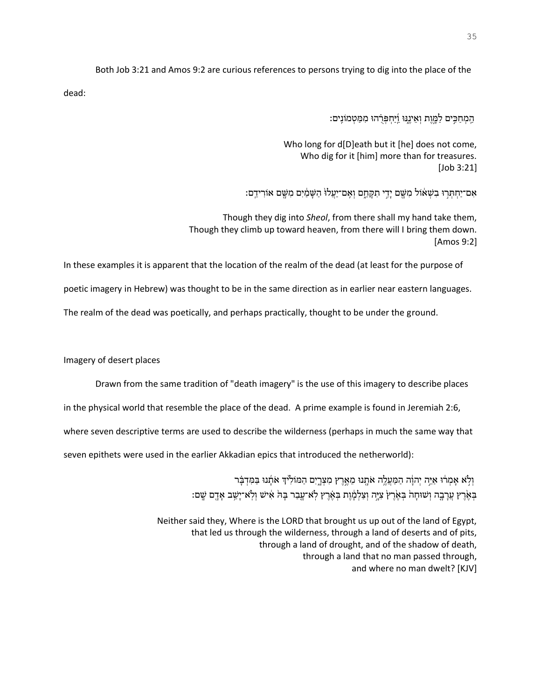Both Job 3:21 and Amos 9:2 are curious references to persons trying to dig into the place of the

dead:

הַמְחַכֵּים לַמֵּוֶת וְאֵינֵגַוּ וַיַּחִפְרְהוּ מִמַּטְמוֹנֵים:

Who long for d[D]eath but it [he] does not come, Who dig for it [him] more than for treasures. [Job 3:21]

אִם־יַחִתְּרְוּ בִשְׁאוֹל מִשָּׁם יָדֵי תִקָּחֵם וְאָם־יַעֲלוּ הַשָּׁמַ֫יִם מִשָּׁם אוֹרִידֵם:

Though they dig into *Sheol*, from there shall my hand take them, Though they climb up toward heaven, from there will I bring them down. [Amos 9:2]

In these examples it is apparent that the location of the realm of the dead (at least for the purpose of

poetic imagery in Hebrew) was thought to be in the same direction as in earlier near eastern languages.

The realm of the dead was poetically, and perhaps practically, thought to be under the ground.

Imagery of desert places

Drawn from the same tradition of "death imagery" is the use of this imagery to describe places

in the physical world that resemble the place of the dead. A prime example is found in Jeremiah 2:6,

where seven descriptive terms are used to describe the wilderness (perhaps in much the same way that

seven epithets were used in the earlier Akkadian epics that introduced the netherworld):

וְלָׂא אָמְרֹוּ אַיֵּה יְהוַׂה הַמַּעֲלֵה אֹתָנוּ מֵאֱרֵץ מִצְרֵיִם הַמּוֹלְיֹדְ אֹתַנוּ בַּמְּדְבַּ֫ר בְּאֵּרֵץ עֲרָבֶה וְשׁוּחָה בְּאֵׂרֵץ צִיֵּה וְצַלְמֶנֶת בְּאֶרֵץ לְא־עֲבָר בָּהֹ אִישׁ וְלָא־יַשֵּׁב אַדֵּם שֵׁם:

Neither said they, Where is the LORD that brought us up out of the land of Egypt, that led us through the wilderness, through a land of deserts and of pits, through a land of drought, and of the shadow of death, through a land that no man passed through, and where no man dwelt? [KJV]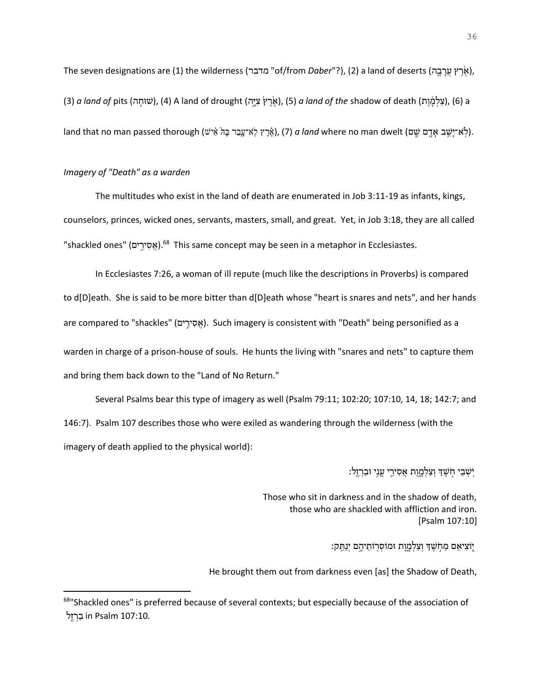The seven designations are (1) the wilderness (מֹרֵץ עֵרָבֶה "of/from *Daber*"?), (2) a land of deserts (אֵׂרֵץ עֵרָבֶה, (3) *a land of pits (שׁ*וּחָה), (4) A land of drought (אֶרֶץ צְיֶה), (5) *a land of the* shadow of death (צְלָמֶׂוֶת), (6) a land that no man passed thorough (אֶׂרֵץ לְא־עֲבָר בַּה אִישׁ ), (7) a land where no man dwelt (לֹא־יַשָּׁב אַדָם שַׁם).

# *Imagery of "Death" as a warden*

The multitudes who exist in the land of death are enumerated in Job 3:11-19 as infants, kings, counselors, princes, wicked ones, servants, masters, small, and great. Yet, in Job 3:18, they are all called "shackled ones" (אֵסְירֵים).<sup>68</sup> This same concept may be seen in a metaphor in Ecclesiastes.

In Ecclesiastes 7:26, a woman of ill repute (much like the descriptions in Proverbs) is compared to d[D]eath. She is said to be more bitter than d[D]eath whose "heart is snares and nets", and her hands are compared to "shackles" (אֱסִירֵים). Such imagery is consistent with "Death" being personified as a warden in charge of a prison-house of souls. He hunts the living with "snares and nets" to capture them and bring them back down to the "Land of No Return."

Several Psalms bear this type of imagery as well (Psalm 79:11; 102:20; 107:10, 14, 18; 142:7; and 146:7). Psalm 107 describes those who were exiled as wandering through the wilderness (with the imagery of death applied to the physical world):

ַיְשָׁבֵי חָשָׁךָ וְצַלְמֵוֶת אֲסִירֵי עֲנֵי וּבַרְזֶל:

Those who sit in darkness and in the shadow of death, those who are shackled with affliction and iron. [Psalm 107:10]

ְיֵׂצְיאֵם מֵחָשֶׁדְּ וְצַלְמֻוֵת וּמוֹסְרְוֹתֵיהֵם יְנַתֵּק:

He brought them out from darkness even [as] the Shadow of Death,

<sup>68&</sup>quot;Shackled ones" is preferred because of several contexts; but especially because of the association of 107:10. Psalm in בַ רְ זֶ ל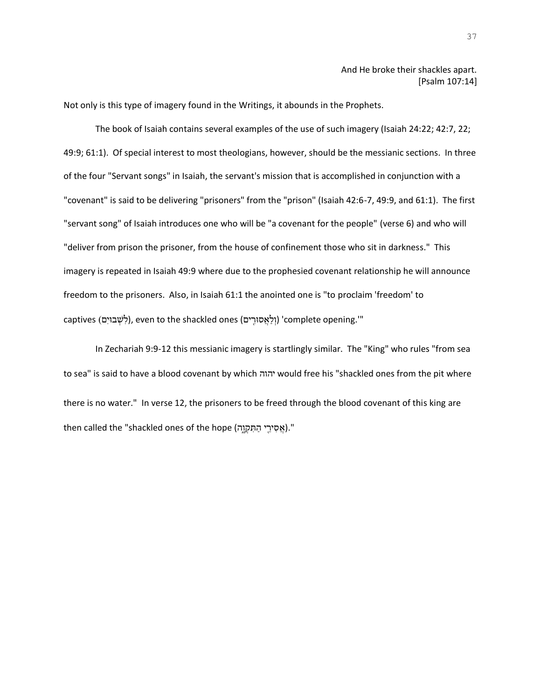Not only is this type of imagery found in the Writings, it abounds in the Prophets.

The book of Isaiah contains several examples of the use of such imagery (Isaiah 24:22; 42:7, 22; 49:9; 61:1). Of special interest to most theologians, however, should be the messianic sections. In three of the four "Servant songs" in Isaiah, the servant's mission that is accomplished in conjunction with a "covenant" is said to be delivering "prisoners" from the "prison" (Isaiah 42:6-7, 49:9, and 61:1). The first "servant song" of Isaiah introduces one who will be "a covenant for the people" (verse 6) and who will "deliver from prison the prisoner, from the house of confinement those who sit in darkness." This imagery is repeated in Isaiah 49:9 where due to the prophesied covenant relationship he will announce freedom to the prisoners. Also, in Isaiah 61:1 the anointed one is "to proclaim 'freedom' to captives (לִשְׁבוּיִם), even to the shackled ones (וַלְאֱסוּרֵים) 'complete opening.'"

In Zechariah 9:9-12 this messianic imagery is startlingly similar. The "King" who rules "from sea to sea" is said to have a blood covenant by which יהוה would free his "shackled ones from the pit where there is no water." In verse 12, the prisoners to be freed through the blood covenant of this king are then called the "shackled ones of the hope (אֱסִירֵי הַתְּקָוָה)."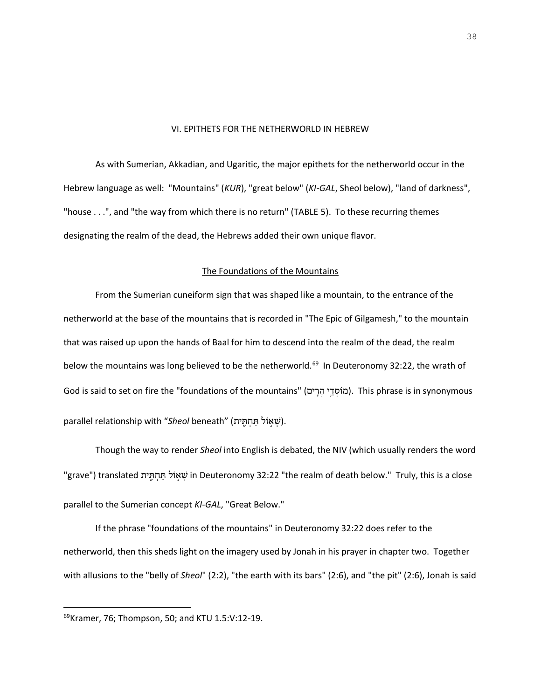#### VI. EPITHETS FOR THE NETHERWORLD IN HEBREW

As with Sumerian, Akkadian, and Ugaritic, the major epithets for the netherworld occur in the Hebrew language as well: "Mountains" (*KUR*), "great below" (*KI-GAL*, Sheol below), "land of darkness", "house . . .", and "the way from which there is no return" (TABLE 5). To these recurring themes designating the realm of the dead, the Hebrews added their own unique flavor.

### The Foundations of the Mountains

From the Sumerian cuneiform sign that was shaped like a mountain, to the entrance of the netherworld at the base of the mountains that is recorded in "The Epic of Gilgamesh," to the mountain that was raised up upon the hands of Baal for him to descend into the realm of the dead, the realm below the mountains was long believed to be the netherworld.<sup>69</sup> In Deuteronomy 32:22, the wrath of God is said to set on fire the "foundations of the mountains" (מוֹסְדֵי הַרְים). This phrase is in synonymous parallel relationship with "Sheol beneath" (שְׁאָוֹל תַּחְתֵּית).

Though the way to render *Sheol* into English is debated, the NIV (which usually renders the word "grave") translated שִׁאָוֹל תַּחְתֵּית in Deuteronomy 32:22 "the realm of death below." Truly, this is a close parallel to the Sumerian concept *KI-GAL*, "Great Below."

If the phrase "foundations of the mountains" in Deuteronomy 32:22 does refer to the netherworld, then this sheds light on the imagery used by Jonah in his prayer in chapter two. Together with allusions to the "belly of *Sheol*" (2:2), "the earth with its bars" (2:6), and "the pit" (2:6), Jonah is said

<sup>69</sup>Kramer, 76; Thompson, 50; and KTU 1.5:V:12-19.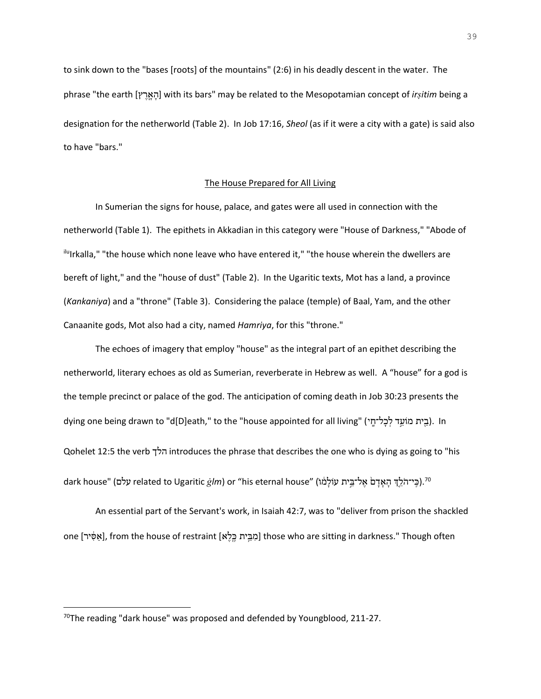to sink down to the "bases [roots] of the mountains" (2:6) in his deadly descent in the water. The phrase "the earth [ץ ֶר ִּ֛ א ה [with its bars" may be related to the Mesopotamian concept of *irṣitim* being a designation for the netherworld (Table 2). In Job 17:16, *Sheol* (as if it were a city with a gate) is said also to have "bars."

#### The House Prepared for All Living

In Sumerian the signs for house, palace, and gates were all used in connection with the netherworld (Table 1). The epithets in Akkadian in this category were "House of Darkness," "Abode of iluIrkalla," "the house which none leave who have entered it," "the house wherein the dwellers are bereft of light," and the "house of dust" (Table 2). In the Ugaritic texts, Mot has a land, a province (*Kankaniya*) and a "throne" (Table 3). Considering the palace (temple) of Baal, Yam, and the other Canaanite gods, Mot also had a city, named *Hamriya*, for this "throne."

The echoes of imagery that employ "house" as the integral part of an epithet describing the netherworld, literary echoes as old as Sumerian, reverberate in Hebrew as well. A "house" for a god is the temple precinct or palace of the god. The anticipation of coming death in Job 30:23 presents the dying one being drawn to "d[D]eath," to the "house appointed for all living" (בֶּית מוֹעֵד לְכָל־חֱי). In Qohelet 12:5 the verb הלך introduces the phrase that describes the one who is dying as going to "his ch (כֵּי־הֹלֵךְ הָאָדָם אֶל־בֵֵית עוֹלָמוֹ) "helated to Ugaritic *ġlm*) or "his eternal house" (עָל־בֵּיָה מִאָדָם אֶל־בֵּית עוֹלָמוֹ).

An essential part of the Servant's work, in Isaiah 42:7, was to "deliver from prison the shackled one [אַפִּ֫לָא], from the house of restraint [מְבֵית בֵּלֶא] those who are sitting in darkness." Though often

 $70$ The reading "dark house" was proposed and defended by Youngblood, 211-27.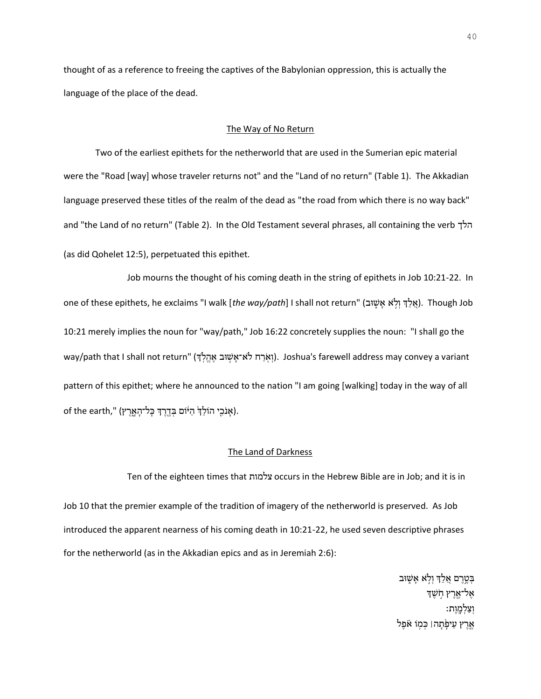thought of as a reference to freeing the captives of the Babylonian oppression, this is actually the language of the place of the dead.

### The Way of No Return

Two of the earliest epithets for the netherworld that are used in the Sumerian epic material were the "Road [way] whose traveler returns not" and the "Land of no return" (Table 1). The Akkadian language preserved these titles of the realm of the dead as "the road from which there is no way back" and "the Land of no return" (Table 2). In the Old Testament several phrases, all containing the verb הלך (as did Qohelet 12:5), perpetuated this epithet.

Job mourns the thought of his coming death in the string of epithets in Job 10:21-22. In one of these epithets, he exclaims "I walk [*the way/path*] I shall not return" (אֵלֵךְּ וְלָא אָשָׁוּב). Though Job 10:21 merely implies the noun for "way/path," Job 16:22 concretely supplies the noun: "I shall go the way/path that I shall not return" (וְאָרַח לֹא אָשֶׁוּב אֶהֱלְךָּ). Joshua's farewell address may convey a variant pattern of this epithet; where he announced to the nation "I am going [walking] today in the way of all of the earth," (אֲנֹכֵי הוֹלֵן הַיּוֹם בְּדֱרֵךְ כָּל־הָאֲרֵץ).

### The Land of Darkness

Ten of the eighteen times that צלמות occurs in the Hebrew Bible are in Job; and it is in Job 10 that the premier example of the tradition of imagery of the netherworld is preserved. As Job introduced the apparent nearness of his coming death in 10:21-22, he used seven descriptive phrases for the netherworld (as in the Akkadian epics and as in Jeremiah 2:6):

> בְטֶרֶם אֱלֵדְ וְלָ<mark>ׂא אָ</mark>שֶׁוּב אֶל־אֱרֶץ חֲשֶׁדִּ וְצַלְמֶוֶת: אֶרֵץ עֵיפַּ**תַה**ּ כְּמִוֹ אֹפֶל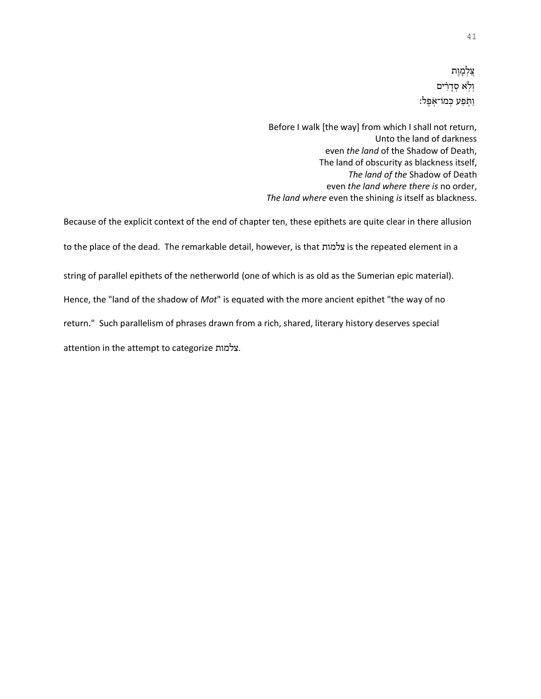צַלְמָוֵת וְלָא סְדָרִים וַחִפַע כְּמוֹ־אָפֵל:

Before I walk [the way] from which I shall not return, Unto the land of darkness even *the land* of the Shadow of Death, The land of obscurity as blackness itself, *The land of the* Shadow of Death even *the land where there is* no order, *The land where* even the shining *is* itself as blackness.

Because of the explicit context of the end of chapter ten, these epithets are quite clear in there allusion to the place of the dead. The remarkable detail, however, is that צלמות is the repeated element in a string of parallel epithets of the netherworld (one of which is as old as the Sumerian epic material). Hence, the "land of the shadow of *Mot*" is equated with the more ancient epithet "the way of no return." Such parallelism of phrases drawn from a rich, shared, literary history deserves special attention in the attempt to categorize צלמות.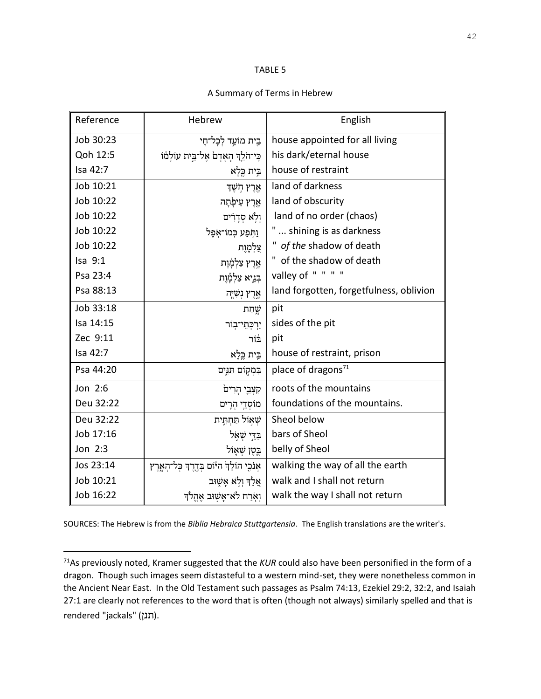### TABLE 5

#### A Summary of Terms in Hebrew

| Reference          | Hebrew                                         | English                                 |
|--------------------|------------------------------------------------|-----------------------------------------|
| Job 30:23          | בֵית מוֹעֵד לִכָל־חַי                          | house appointed for all living          |
| Qoh 12:5           | כִּי־הֹלֵךְ הָאָדָם אֶל־בֵּית עוֹלָמוֹ         | his dark/eternal house                  |
| Isa 42:7           | ַבֵּית בֶּלֶא                                  | house of restraint                      |
| Job 10:21          | אֵרֵץ חָשֵׁדִּ                                 | land of darkness                        |
| Job 10:22          | אֵרֵץ עֵיפַּתַה                                | land of obscurity                       |
| Job 10:22          | וִלְא סְדַרִים                                 | land of no order (chaos)                |
| Job 10:22          | וַחִפַע כְּמוֹ־אִפֵל                           | " shining is as darkness                |
| Job 10:22          | צַלִמָּוַת                                     | " of the shadow of death                |
| Isa <sub>9:1</sub> | אֱרֵץ צַלְמָוֵת                                | " of the shadow of death                |
| Psa 23:4           | בְּגֵיא צַלְמָוֵת                              | valley of                               |
| Psa 88:13          | אֱרֶץ נְשָׁיֶּה                                | land forgotten, forgetfulness, oblivion |
| Job 33:18          | שֶׁחַת                                         | pit                                     |
| Isa 14:15          | יַרִכְּתֵי־בְוֹר                               | sides of the pit                        |
| Zec 9:11           | בור                                            | pit                                     |
| Isa 42:7           | בֵּית כֵּלֵא                                   | house of restraint, prison              |
| Psa 44:20          | בִּמְקוֹם תַּגֵּים                             | place of dragons <sup>71</sup>          |
| Jon 2:6            | קצִבֵי הַרִים                                  | roots of the mountains                  |
| Deu 32:22          | מוֹסְדֵי הָרִים                                | foundations of the mountains.           |
| Deu 32:22          | שְׁאוֹל תַּחְתֵּית                             | Sheol below                             |
| Job 17:16          | בַדֵּי שָׁאַל                                  | bars of Sheol                           |
| Jon 2:3            | בֵטֵן שָׁאֲוֹל                                 | belly of Sheol                          |
| Jos 23:14          | אָנֹכִי הוֹלֵךְ הַיּוֹם בְּדֶרֶךְ כָּל־הָאֱרֶץ | walking the way of all the earth        |
| Job 10:21          | אֱלֶךְ וְלָא אֲשָׁוּב                          | walk and I shall not return             |
| Job 16:22          | וְאָרַח לֹא־אָשִׁוּב אֲהֵלְךָ                  | walk the way I shall not return         |

SOURCES: The Hebrew is from the *Biblia Hebraica Stuttgartensia*. The English translations are the writer's.

<sup>71</sup>As previously noted, Kramer suggested that the *KUR* could also have been personified in the form of a dragon. Though such images seem distasteful to a western mind-set, they were nonetheless common in the Ancient Near East. In the Old Testament such passages as Psalm 74:13, Ezekiel 29:2, 32:2, and Isaiah 27:1 are clearly not references to the word that is often (though not always) similarly spelled and that is rendered "jackals" (תנן(.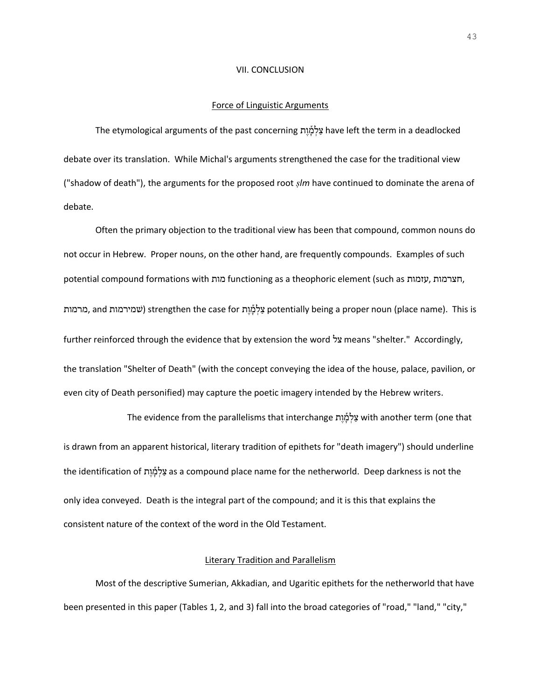#### VII. CONCLUSION

#### Force of Linguistic Arguments

The etymological arguments of the past concerning ת ֶו ָ֡ מ ְל ַצ have left the term in a deadlocked debate over its translation. While Michal's arguments strengthened the case for the traditional view ("shadow of death"), the arguments for the proposed root *ṣlm* have continued to dominate the arena of debate.

Often the primary objection to the traditional view has been that compound, common nouns do not occur in Hebrew. Proper nouns, on the other hand, are frequently compounds. Examples of such potential compound formations with מות functioning as a theophoric element (such as עזמות, חצרמות, מרמות, and שמירמות) strengthen the case for עֲלָמָّוֵת potentially being a proper noun (place name). This is further reinforced through the evidence that by extension the word צל means "shelter." Accordingly, the translation "Shelter of Death" (with the concept conveying the idea of the house, palace, pavilion, or even city of Death personified) may capture the poetic imagery intended by the Hebrew writers.

The evidence from the parallelisms that interchange עַלְמָרָת with another term (one that is drawn from an apparent historical, literary tradition of epithets for "death imagery") should underline the identification of ת ֶו ָ֡ מ ְל ַצ as a compound place name for the netherworld. Deep darkness is not the only idea conveyed. Death is the integral part of the compound; and it is this that explains the consistent nature of the context of the word in the Old Testament.

### Literary Tradition and Parallelism

Most of the descriptive Sumerian, Akkadian, and Ugaritic epithets for the netherworld that have been presented in this paper (Tables 1, 2, and 3) fall into the broad categories of "road," "land," "city,"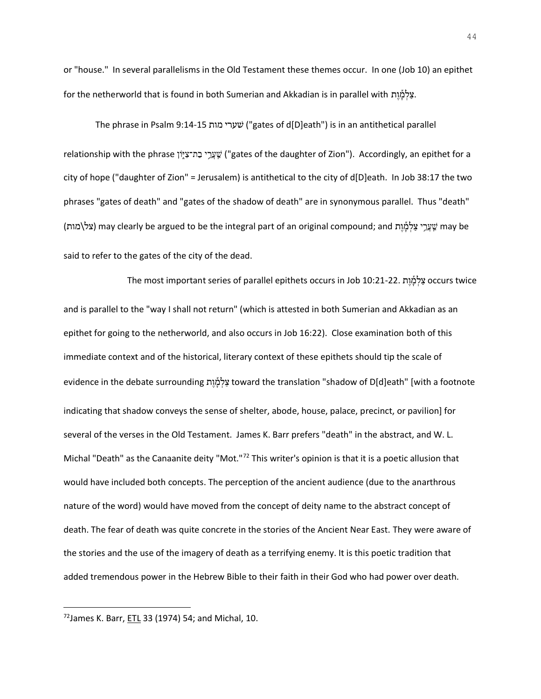or "house." In several parallelisms in the Old Testament these themes occur. In one (Job 10) an epithet for the netherworld that is found in both Sumerian and Akkadian is in parallel with צלמות.

The phrase in Psalm 9:14-15 מות שערי") gates of d[D]eath") is in an antithetical parallel relationship with the phrase שְׁעֲרֵי בַּת־צַיְּוֹ ("gates of the daughter of Zion"). Accordingly, an epithet for a city of hope ("daughter of Zion" = Jerusalem) is antithetical to the city of d[D]eath. In Job 38:17 the two phrases "gates of death" and "gates of the shadow of death" are in synonymous parallel. Thus "death" (צל\מות (של ) may clearly be argued to be the integral part of an original compound; and עֲעֲרֵי צַלְמֲיָה may be said to refer to the gates of the city of the dead.

The most important series of parallel epithets occurs in Job 10:21-22. ת ֶו ָ֡ מ ְל ַצ occurs twice and is parallel to the "way I shall not return" (which is attested in both Sumerian and Akkadian as an epithet for going to the netherworld, and also occurs in Job 16:22). Close examination both of this immediate context and of the historical, literary context of these epithets should tip the scale of evidence in the debate surrounding צַלְמֶהֵ toward the translation "shadow of D[d]eath" [with a footnote indicating that shadow conveys the sense of shelter, abode, house, palace, precinct, or pavilion] for several of the verses in the Old Testament. James K. Barr prefers "death" in the abstract, and W. L. Michal "Death" as the Canaanite deity "Mot."<sup>72</sup> This writer's opinion is that it is a poetic allusion that would have included both concepts. The perception of the ancient audience (due to the anarthrous nature of the word) would have moved from the concept of deity name to the abstract concept of death. The fear of death was quite concrete in the stories of the Ancient Near East. They were aware of the stories and the use of the imagery of death as a terrifying enemy. It is this poetic tradition that added tremendous power in the Hebrew Bible to their faith in their God who had power over death.

 $72$ James K. Barr, ETL 33 (1974) 54; and Michal, 10.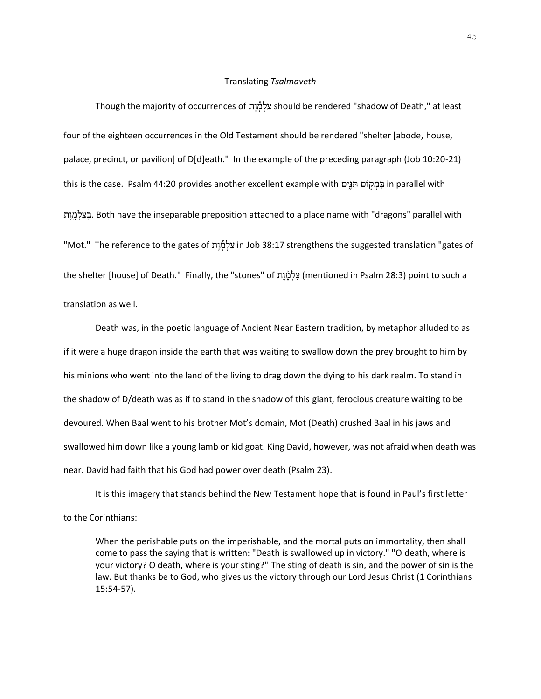#### Translating *Tsalmaveth*

Though the majority of occurrences of ת ֶו ָ֡ מ ְל ַצ should be rendered "shadow of Death," at least four of the eighteen occurrences in the Old Testament should be rendered "shelter [abode, house, palace, precinct, or pavilion] of D[d]eath." In the example of the preceding paragraph (Job 10:20-21) this is the case. Psalm 44:20 provides another excellent example with בְּמַקְוֹם תְּגֵים in parallel with ת ֶו מ ְל ַצ ְב. Both have the inseparable preposition attached to a place name with "dragons" parallel with "Mot." The reference to the gates of ת ֶו ָ֡ מ ְל ַצ in Job 38:17 strengthens the suggested translation "gates of the shelter [house] of Death." Finally, the "stones" of עֲלֹמֶוֶת (mentioned in Psalm 28:3) point to such a translation as well.

Death was, in the poetic language of Ancient Near Eastern tradition, by metaphor alluded to as if it were a huge dragon inside the earth that was waiting to swallow down the prey brought to him by his minions who went into the land of the living to drag down the dying to his dark realm. To stand in the shadow of D/death was as if to stand in the shadow of this giant, ferocious creature waiting to be devoured. When Baal went to his brother Mot's domain, Mot (Death) crushed Baal in his jaws and swallowed him down like a young lamb or kid goat. King David, however, was not afraid when death was near. David had faith that his God had power over death (Psalm 23).

It is this imagery that stands behind the New Testament hope that is found in Paul's first letter to the Corinthians:

When the perishable puts on the imperishable, and the mortal puts on immortality, then shall come to pass the saying that is written: "Death is swallowed up in victory." "O death, where is your victory? O death, where is your sting?" The sting of death is sin, and the power of sin is the law. But thanks be to God, who gives us the victory through our Lord Jesus Christ (1 Corinthians 15:54-57).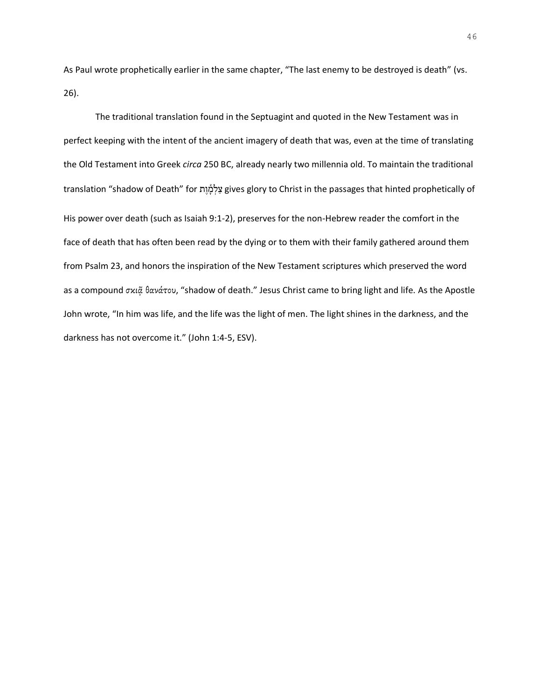As Paul wrote prophetically earlier in the same chapter, "The last enemy to be destroyed is death" (vs. 26).

The traditional translation found in the Septuagint and quoted in the New Testament was in perfect keeping with the intent of the ancient imagery of death that was, even at the time of translating the Old Testament into Greek *circa* 250 BC, already nearly two millennia old. To maintain the traditional translation "shadow of Death" for עֲלָמָוֹת gives glory to Christ in the passages that hinted prophetically of His power over death (such as Isaiah 9:1-2), preserves for the non-Hebrew reader the comfort in the face of death that has often been read by the dying or to them with their family gathered around them from Psalm 23, and honors the inspiration of the New Testament scriptures which preserved the word as a compound σκιಢ θανάτου, "shadow of death." Jesus Christ came to bring light and life. As the Apostle John wrote, "In him was life, and the life was the light of men. The light shines in the darkness, and the darkness has not overcome it." (John 1:4-5, ESV).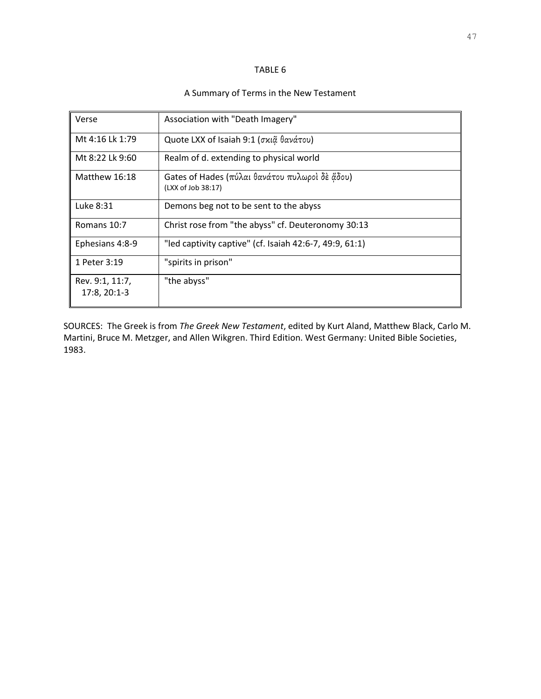### TABLE 6

# A Summary of Terms in the New Testament

| Verse                           | Association with "Death Imagery"                                     |  |
|---------------------------------|----------------------------------------------------------------------|--|
| Mt 4:16 Lk 1:79                 | Quote LXX of Isaiah 9:1 (σκιά θανάτου)                               |  |
| Mt 8:22 Lk 9:60                 | Realm of d. extending to physical world                              |  |
| Matthew 16:18                   | Gates of Hades (πύλαι θανάτου πυλωροί δε άδου)<br>(LXX of Job 38:17) |  |
| Luke 8:31                       | Demons beg not to be sent to the abyss                               |  |
| Romans 10:7                     | Christ rose from "the abyss" cf. Deuteronomy 30:13                   |  |
| Ephesians 4:8-9                 | "led captivity captive" (cf. Isaiah 42:6-7, 49:9, 61:1)              |  |
| 1 Peter 3:19                    | "spirits in prison"                                                  |  |
| Rev. 9:1, 11:7,<br>17:8, 20:1-3 | "the abyss"                                                          |  |

SOURCES: The Greek is from *The Greek New Testament*, edited by Kurt Aland, Matthew Black, Carlo M. Martini, Bruce M. Metzger, and Allen Wikgren. Third Edition. West Germany: United Bible Societies, 1983.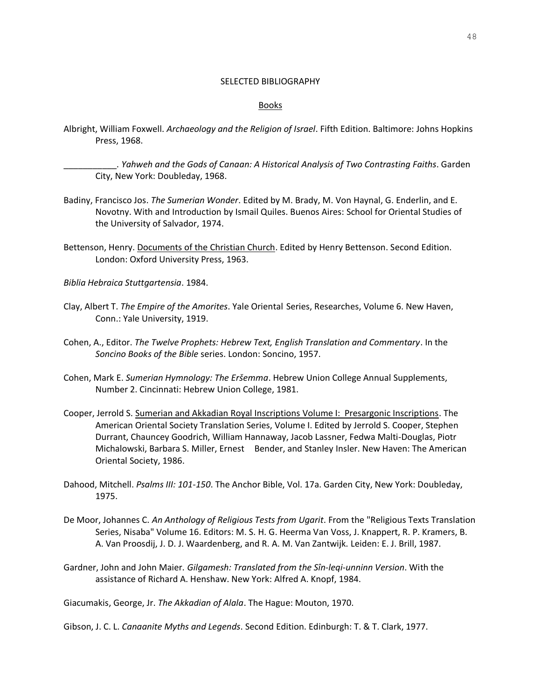#### SELECTED BIBLIOGRAPHY

#### Books

Albright, William Foxwell. *Archaeology and the Religion of Israel*. Fifth Edition. Baltimore: Johns Hopkins Press, 1968.

\_\_\_\_\_\_\_\_\_\_\_. *Yahweh and the Gods of Canaan: A Historical Analysis of Two Contrasting Faiths*. Garden City, New York: Doubleday, 1968.

- Badiny, Francisco Jos. *The Sumerian Wonder*. Edited by M. Brady, M. Von Haynal, G. Enderlin, and E. Novotny. With and Introduction by Ismail Quiles. Buenos Aires: School for Oriental Studies of the University of Salvador, 1974.
- Bettenson, Henry. Documents of the Christian Church. Edited by Henry Bettenson. Second Edition. London: Oxford University Press, 1963.

*Biblia Hebraica Stuttgartensia*. 1984.

- Clay, Albert T. *The Empire of the Amorites*. Yale Oriental Series, Researches, Volume 6. New Haven, Conn.: Yale University, 1919.
- Cohen, A., Editor. *The Twelve Prophets: Hebrew Text, English Translation and Commentary*. In the *Soncino Books of the Bible* series. London: Soncino, 1957.
- Cohen, Mark E. *Sumerian Hymnology: The Eršemma*. Hebrew Union College Annual Supplements, Number 2. Cincinnati: Hebrew Union College, 1981.
- Cooper, Jerrold S. Sumerian and Akkadian Royal Inscriptions Volume I: Presargonic Inscriptions. The American Oriental Society Translation Series, Volume I. Edited by Jerrold S. Cooper, Stephen Durrant, Chauncey Goodrich, William Hannaway, Jacob Lassner, Fedwa Malti-Douglas, Piotr Michalowski, Barbara S. Miller, Ernest Bender, and Stanley Insler. New Haven: The American Oriental Society, 1986.
- Dahood, Mitchell. *Psalms III: 101-150*. The Anchor Bible, Vol. 17a. Garden City, New York: Doubleday, 1975.
- De Moor, Johannes C. *An Anthology of Religious Tests from Ugarit*. From the "Religious Texts Translation Series, Nisaba" Volume 16. Editors: M. S. H. G. Heerma Van Voss, J. Knappert, R. P. Kramers, B. A. Van Proosdij, J. D. J. Waardenberg, and R. A. M. Van Zantwijk. Leiden: E. J. Brill, 1987.
- Gardner, John and John Maier. *Gilgamesh: Translated from the Sîn-leqi-unninn Version*. With the assistance of Richard A. Henshaw. New York: Alfred A. Knopf, 1984.

Giacumakis, George, Jr. *The Akkadian of Alala*. The Hague: Mouton, 1970.

Gibson, J. C. L. *Canaanite Myths and Legends*. Second Edition. Edinburgh: T. & T. Clark, 1977.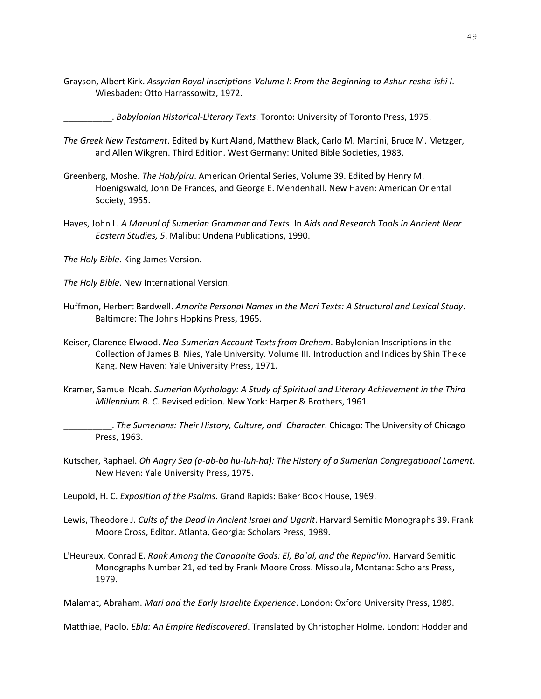Grayson, Albert Kirk. *Assyrian Royal Inscriptions Volume I: From the Beginning to Ashur-resha-ishi I*. Wiesbaden: Otto Harrassowitz, 1972.

\_\_\_\_\_\_\_\_\_\_. *Babylonian Historical-Literary Texts*. Toronto: University of Toronto Press, 1975.

- *The Greek New Testament*. Edited by Kurt Aland, Matthew Black, Carlo M. Martini, Bruce M. Metzger, and Allen Wikgren. Third Edition. West Germany: United Bible Societies, 1983.
- Greenberg, Moshe. *The Hab/piru*. American Oriental Series, Volume 39. Edited by Henry M. Hoenigswald, John De Frances, and George E. Mendenhall. New Haven: American Oriental Society, 1955.
- Hayes, John L. *A Manual of Sumerian Grammar and Texts*. In *Aids and Research Tools in Ancient Near Eastern Studies, 5*. Malibu: Undena Publications, 1990.

*The Holy Bible*. King James Version.

*The Holy Bible*. New International Version.

- Huffmon, Herbert Bardwell. *Amorite Personal Names in the Mari Texts: A Structural and Lexical Study*. Baltimore: The Johns Hopkins Press, 1965.
- Keiser, Clarence Elwood. *Neo-Sumerian Account Texts from Drehem*. Babylonian Inscriptions in the Collection of James B. Nies, Yale University. Volume III. Introduction and Indices by Shin Theke Kang. New Haven: Yale University Press, 1971.
- Kramer, Samuel Noah. *Sumerian Mythology: A Study of Spiritual and Literary Achievement in the Third Millennium B. C.* Revised edition. New York: Harper & Brothers, 1961.

\_\_\_\_\_\_\_\_\_\_. *The Sumerians: Their History, Culture, and Character*. Chicago: The University of Chicago Press, 1963.

- Kutscher, Raphael. *Oh Angry Sea (a-ab-ba hu-luh-ha): The History of a Sumerian Congregational Lament*. New Haven: Yale University Press, 1975.
- Leupold, H. C. *Exposition of the Psalms*. Grand Rapids: Baker Book House, 1969.
- Lewis, Theodore J. *Cults of the Dead in Ancient Israel and Ugarit*. Harvard Semitic Monographs 39. Frank Moore Cross, Editor. Atlanta, Georgia: Scholars Press, 1989.
- L'Heureux, Conrad E. *Rank Among the Canaanite Gods: El, Ba`al, and the Repha'im*. Harvard Semitic Monographs Number 21, edited by Frank Moore Cross. Missoula, Montana: Scholars Press, 1979.

Malamat, Abraham. *Mari and the Early Israelite Experience*. London: Oxford University Press, 1989.

Matthiae, Paolo. *Ebla: An Empire Rediscovered*. Translated by Christopher Holme. London: Hodder and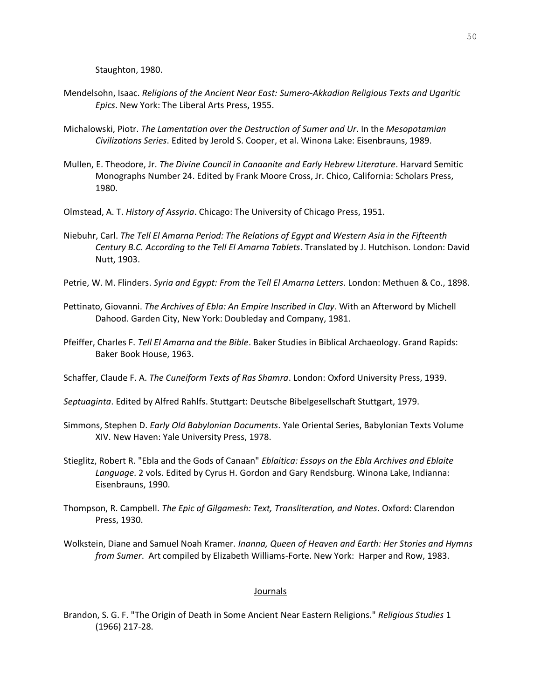Staughton, 1980.

- Mendelsohn, Isaac. *Religions of the Ancient Near East: Sumero-Akkadian Religious Texts and Ugaritic Epics*. New York: The Liberal Arts Press, 1955.
- Michalowski, Piotr. *The Lamentation over the Destruction of Sumer and Ur*. In the *Mesopotamian Civilizations Series*. Edited by Jerold S. Cooper, et al. Winona Lake: Eisenbrauns, 1989.
- Mullen, E. Theodore, Jr. *The Divine Council in Canaanite and Early Hebrew Literature*. Harvard Semitic Monographs Number 24. Edited by Frank Moore Cross, Jr. Chico, California: Scholars Press, 1980.
- Olmstead, A. T. *History of Assyria*. Chicago: The University of Chicago Press, 1951.
- Niebuhr, Carl. *The Tell El Amarna Period: The Relations of Egypt and Western Asia in the Fifteenth Century B.C. According to the Tell El Amarna Tablets*. Translated by J. Hutchison. London: David Nutt, 1903.
- Petrie, W. M. Flinders. *Syria and Egypt: From the Tell El Amarna Letters*. London: Methuen & Co., 1898.
- Pettinato, Giovanni. *The Archives of Ebla: An Empire Inscribed in Clay*. With an Afterword by Michell Dahood. Garden City, New York: Doubleday and Company, 1981.
- Pfeiffer, Charles F. *Tell El Amarna and the Bible*. Baker Studies in Biblical Archaeology. Grand Rapids: Baker Book House, 1963.

Schaffer, Claude F. A. *The Cuneiform Texts of Ras Shamra*. London: Oxford University Press, 1939.

*Septuaginta*. Edited by Alfred Rahlfs. Stuttgart: Deutsche Bibelgesellschaft Stuttgart, 1979.

- Simmons, Stephen D. *Early Old Babylonian Documents*. Yale Oriental Series, Babylonian Texts Volume XIV. New Haven: Yale University Press, 1978.
- Stieglitz, Robert R. "Ebla and the Gods of Canaan" *Eblaitica: Essays on the Ebla Archives and Eblaite Language*. 2 vols. Edited by Cyrus H. Gordon and Gary Rendsburg. Winona Lake, Indianna: Eisenbrauns, 1990.
- Thompson, R. Campbell. *The Epic of Gilgamesh: Text, Transliteration, and Notes*. Oxford: Clarendon Press, 1930.
- Wolkstein, Diane and Samuel Noah Kramer. *Inanna, Queen of Heaven and Earth: Her Stories and Hymns from Sumer*. Art compiled by Elizabeth Williams-Forte. New York: Harper and Row, 1983.

#### Journals

Brandon, S. G. F. "The Origin of Death in Some Ancient Near Eastern Religions." *Religious Studies* 1 (1966) 217-28.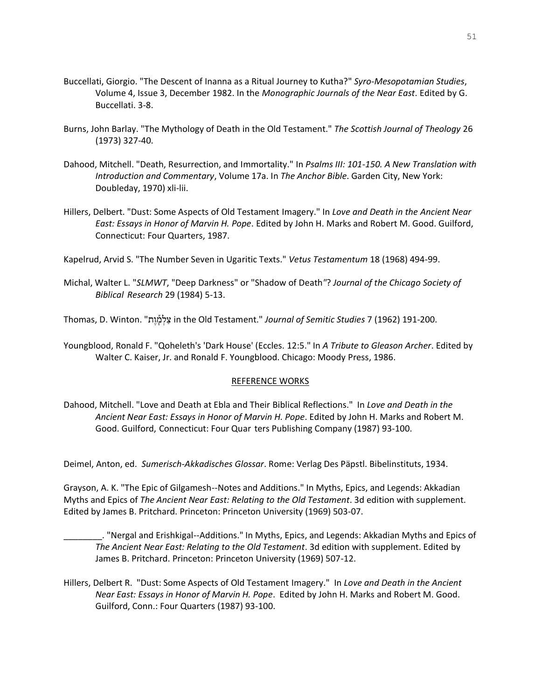- Buccellati, Giorgio. "The Descent of Inanna as a Ritual Journey to Kutha?" *Syro-Mesopotamian Studies*, Volume 4, Issue 3, December 1982. In the *Monographic Journals of the Near East*. Edited by G. Buccellati. 3-8.
- Burns, John Barlay. "The Mythology of Death in the Old Testament." *The Scottish Journal of Theology* 26 (1973) 327-40.
- Dahood, Mitchell. "Death, Resurrection, and Immortality." In *Psalms III: 101-150. A New Translation with Introduction and Commentary*, Volume 17a. In *The Anchor Bible*. Garden City, New York: Doubleday, 1970) xli-lii.
- Hillers, Delbert. "Dust: Some Aspects of Old Testament Imagery." In *Love and Death in the Ancient Near East: Essays in Honor of Marvin H. Pope*. Edited by John H. Marks and Robert M. Good. Guilford, Connecticut: Four Quarters, 1987.

Kapelrud, Arvid S. "The Number Seven in Ugaritic Texts." *Vetus Testamentum* 18 (1968) 494-99.

Michal, Walter L. "*SLMWT*, "Deep Darkness" or "Shadow of Death*"*? *Journal of the Chicago Society of Biblical Research* 29 (1984) 5-13.

Thomas, D. Winton. " ת ֶו ָ֡ מ ְל ַצ in the Old Testament." *Journal of Semitic Studies* 7 (1962) 191-200.

Youngblood, Ronald F. "Qoheleth's 'Dark House' (Eccles. 12:5." In *A Tribute to Gleason Archer*. Edited by Walter C. Kaiser, Jr. and Ronald F. Youngblood. Chicago: Moody Press, 1986.

# REFERENCE WORKS

Dahood, Mitchell. "Love and Death at Ebla and Their Biblical Reflections." In *Love and Death in the Ancient Near East: Essays in Honor of Marvin H. Pope*. Edited by John H. Marks and Robert M. Good. Guilford, Connecticut: Four Quar ters Publishing Company (1987) 93-100.

Deimel, Anton, ed. *Sumerisch-Akkadisches Glossar*. Rome: Verlag Des Päpstl. Bibelinstituts, 1934.

Grayson, A. K. "The Epic of Gilgamesh--Notes and Additions." In Myths, Epics, and Legends: Akkadian Myths and Epics of *The Ancient Near East: Relating to the Old Testament*. 3d edition with supplement. Edited by James B. Pritchard. Princeton: Princeton University (1969) 503-07.

\_\_\_\_\_\_\_\_. "Nergal and Erishkigal--Additions." In Myths, Epics, and Legends: Akkadian Myths and Epics of *The Ancient Near East: Relating to the Old Testament*. 3d edition with supplement. Edited by James B. Pritchard. Princeton: Princeton University (1969) 507-12.

Hillers, Delbert R. "Dust: Some Aspects of Old Testament Imagery." In *Love and Death in the Ancient Near East: Essays in Honor of Marvin H. Pope*. Edited by John H. Marks and Robert M. Good. Guilford, Conn.: Four Quarters (1987) 93-100.